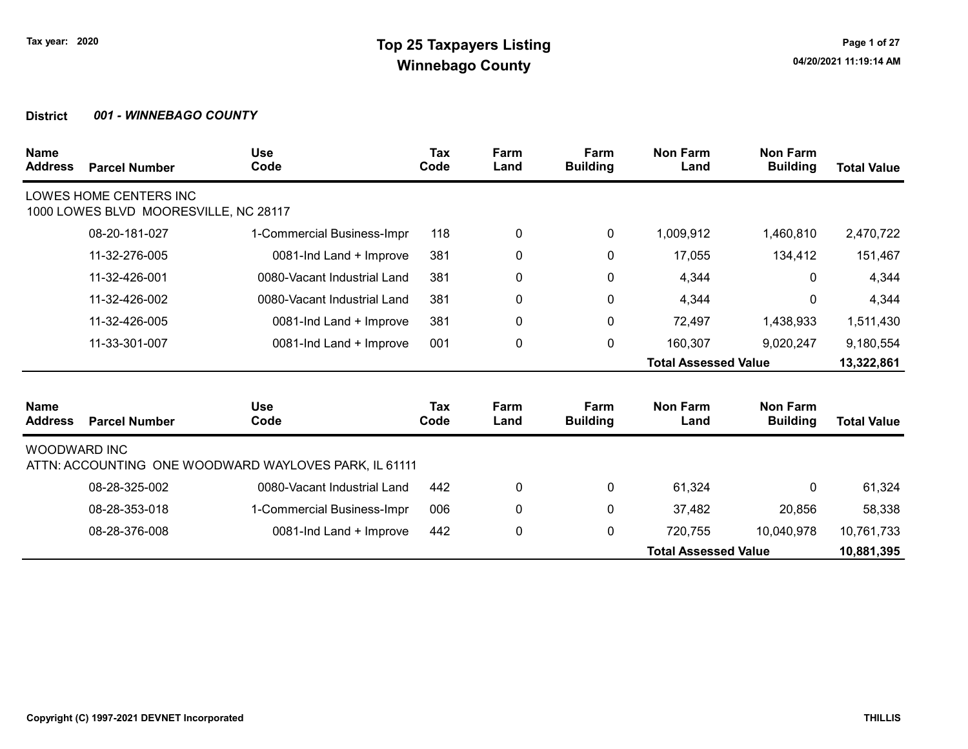| <b>Name</b><br><b>Address</b> | <b>Parcel Number</b>                                            | <b>Use</b><br>Code                                    | Tax<br>Code | Farm<br>Land | Farm<br><b>Building</b> | <b>Non Farm</b><br>Land     | <b>Non Farm</b><br><b>Building</b> | <b>Total Value</b> |
|-------------------------------|-----------------------------------------------------------------|-------------------------------------------------------|-------------|--------------|-------------------------|-----------------------------|------------------------------------|--------------------|
|                               | LOWES HOME CENTERS INC<br>1000 LOWES BLVD MOORESVILLE, NC 28117 |                                                       |             |              |                         |                             |                                    |                    |
|                               | 08-20-181-027                                                   | 1-Commercial Business-Impr                            | 118         | 0            | $\mathbf 0$             | 1,009,912                   | 1,460,810                          | 2,470,722          |
|                               | 11-32-276-005                                                   | 0081-Ind Land + Improve                               | 381         | 0            | 0                       | 17,055                      | 134,412                            | 151,467            |
|                               | 11-32-426-001                                                   | 0080-Vacant Industrial Land                           | 381         | 0            | 0                       | 4,344                       | 0                                  | 4,344              |
|                               | 11-32-426-002                                                   | 0080-Vacant Industrial Land                           | 381         | 0            | 0                       | 4,344                       | 0                                  | 4,344              |
|                               | 11-32-426-005                                                   | 0081-Ind Land + Improve                               | 381         | 0            | 0                       | 72,497                      | 1,438,933                          | 1,511,430          |
|                               | 11-33-301-007                                                   | 0081-Ind Land + Improve                               | 001         | 0            | $\pmb{0}$               | 160,307                     | 9,020,247                          | 9,180,554          |
|                               |                                                                 |                                                       |             |              |                         | <b>Total Assessed Value</b> |                                    | 13,322,861         |
| <b>Name</b><br><b>Address</b> | <b>Parcel Number</b>                                            | <b>Use</b><br>Code                                    | Tax<br>Code | Farm<br>Land | Farm<br><b>Building</b> | <b>Non Farm</b><br>Land     | <b>Non Farm</b><br><b>Building</b> | <b>Total Value</b> |
| <b>WOODWARD INC</b>           |                                                                 | ATTN: ACCOUNTING ONE WOODWARD WAYLOVES PARK, IL 61111 |             |              |                         |                             |                                    |                    |
|                               | 08-28-325-002                                                   | 0080-Vacant Industrial Land                           | 442         | 0            | 0                       | 61,324                      | 0                                  | 61,324             |
|                               | 08-28-353-018                                                   | 1-Commercial Business-Impr                            | 006         | 0            | 0                       | 37,482                      | 20,856                             | 58,338             |
|                               | 08-28-376-008                                                   | 0081-Ind Land + Improve                               | 442         | 0            | 0                       | 720,755                     | 10,040,978                         | 10,761,733         |
|                               |                                                                 |                                                       |             |              |                         | <b>Total Assessed Value</b> |                                    | 10,881,395         |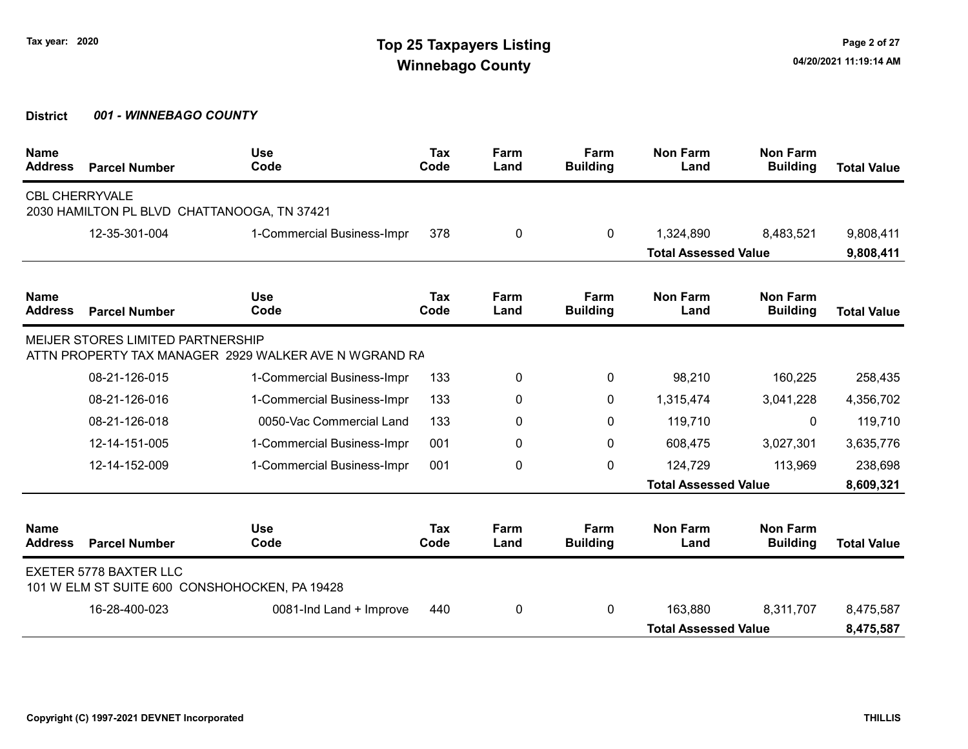| <b>Name</b><br><b>Address</b> | <b>Parcel Number</b>                        | <b>Use</b><br>Code                                    | <b>Tax</b><br>Code | Farm<br>Land | Farm<br><b>Building</b> | <b>Non Farm</b><br>Land     | <b>Non Farm</b><br><b>Building</b> | <b>Total Value</b> |
|-------------------------------|---------------------------------------------|-------------------------------------------------------|--------------------|--------------|-------------------------|-----------------------------|------------------------------------|--------------------|
| <b>CBL CHERRYVALE</b>         | 2030 HAMILTON PL BLVD CHATTANOOGA, TN 37421 |                                                       |                    |              |                         |                             |                                    |                    |
|                               | 12-35-301-004                               | 1-Commercial Business-Impr                            | 378                | 0            | $\mathbf{0}$            | 1,324,890                   | 8,483,521                          | 9,808,411          |
|                               |                                             |                                                       |                    |              |                         | <b>Total Assessed Value</b> |                                    | 9,808,411          |
| <b>Name</b><br><b>Address</b> | <b>Parcel Number</b>                        | <b>Use</b><br>Code                                    | Tax<br>Code        | Farm<br>Land | Farm<br><b>Building</b> | <b>Non Farm</b><br>Land     | <b>Non Farm</b><br><b>Building</b> | <b>Total Value</b> |
|                               | <b>MEIJER STORES LIMITED PARTNERSHIP</b>    | ATTN PROPERTY TAX MANAGER 2929 WALKER AVE N WGRAND RA |                    |              |                         |                             |                                    |                    |
|                               | 08-21-126-015                               | 1-Commercial Business-Impr                            | 133                | 0            | 0                       | 98,210                      | 160,225                            | 258,435            |
|                               | 08-21-126-016                               | 1-Commercial Business-Impr                            | 133                | 0            | 0                       | 1,315,474                   | 3,041,228                          | 4,356,702          |
|                               | 08-21-126-018                               | 0050-Vac Commercial Land                              | 133                | 0            | 0                       | 119,710                     | 0                                  | 119,710            |
|                               | 12-14-151-005                               | 1-Commercial Business-Impr                            | 001                | 0            | 0                       | 608,475                     | 3,027,301                          | 3,635,776          |
|                               | 12-14-152-009                               | 1-Commercial Business-Impr                            | 001                | 0            | 0                       | 124,729                     | 113,969                            | 238,698            |
|                               |                                             |                                                       |                    |              |                         | <b>Total Assessed Value</b> |                                    | 8,609,321          |
| <b>Name</b><br><b>Address</b> | <b>Parcel Number</b>                        | <b>Use</b><br>Code                                    | Tax<br>Code        | Farm<br>Land | Farm<br><b>Building</b> | <b>Non Farm</b><br>Land     | <b>Non Farm</b><br><b>Building</b> | <b>Total Value</b> |
|                               | <b>EXETER 5778 BAXTER LLC</b>               | 101 W ELM ST SUITE 600 CONSHOHOCKEN, PA 19428         |                    |              |                         |                             |                                    |                    |
|                               | 16-28-400-023                               | 0081-Ind Land + Improve                               | 440                | 0            | 0                       | 163,880                     | 8,311,707                          | 8,475,587          |
|                               |                                             |                                                       |                    |              |                         | <b>Total Assessed Value</b> |                                    | 8,475,587          |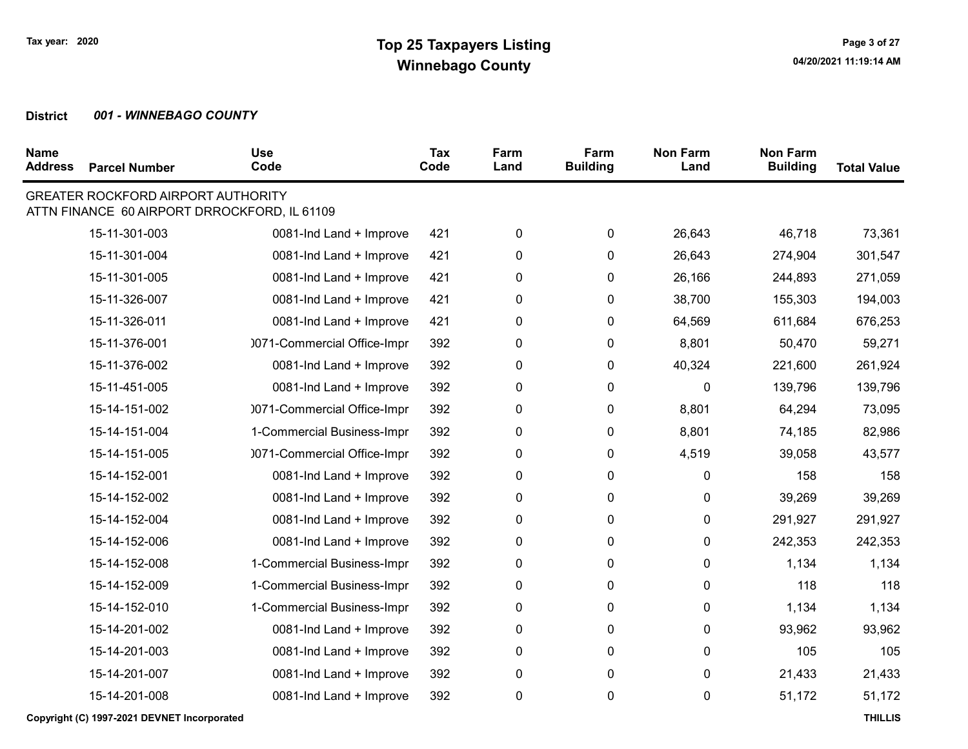| <b>Name</b><br><b>Address</b> | <b>Parcel Number</b>                        | <b>Use</b><br>Code                           | Tax<br>Code | Farm<br>Land | Farm<br><b>Building</b> | <b>Non Farm</b><br>Land | <b>Non Farm</b><br><b>Building</b> | <b>Total Value</b> |
|-------------------------------|---------------------------------------------|----------------------------------------------|-------------|--------------|-------------------------|-------------------------|------------------------------------|--------------------|
|                               | <b>GREATER ROCKFORD AIRPORT AUTHORITY</b>   | ATTN FINANCE 60 AIRPORT DRROCKFORD, IL 61109 |             |              |                         |                         |                                    |                    |
|                               | 15-11-301-003                               | 0081-Ind Land + Improve                      | 421         | 0            | 0                       | 26,643                  | 46,718                             | 73,361             |
|                               | 15-11-301-004                               | 0081-Ind Land + Improve                      | 421         | 0            | 0                       | 26,643                  | 274,904                            | 301,547            |
|                               | 15-11-301-005                               | 0081-Ind Land + Improve                      | 421         | 0            | 0                       | 26,166                  | 244,893                            | 271,059            |
|                               | 15-11-326-007                               | 0081-Ind Land + Improve                      | 421         | $\pmb{0}$    | $\pmb{0}$               | 38,700                  | 155,303                            | 194,003            |
|                               | 15-11-326-011                               | 0081-Ind Land + Improve                      | 421         | 0            | 0                       | 64,569                  | 611,684                            | 676,253            |
|                               | 15-11-376-001                               | 0071-Commercial Office-Impr                  | 392         | 0            | 0                       | 8,801                   | 50,470                             | 59,271             |
|                               | 15-11-376-002                               | 0081-Ind Land + Improve                      | 392         | $\pmb{0}$    | 0                       | 40,324                  | 221,600                            | 261,924            |
|                               | 15-11-451-005                               | 0081-Ind Land + Improve                      | 392         | 0            | 0                       | 0                       | 139,796                            | 139,796            |
|                               | 15-14-151-002                               | 0071-Commercial Office-Impr                  | 392         | 0            | 0                       | 8,801                   | 64,294                             | 73,095             |
|                               | 15-14-151-004                               | 1-Commercial Business-Impr                   | 392         | 0            | 0                       | 8,801                   | 74,185                             | 82,986             |
|                               | 15-14-151-005                               | 0071-Commercial Office-Impr                  | 392         | 0            | 0                       | 4,519                   | 39,058                             | 43,577             |
|                               | 15-14-152-001                               | 0081-Ind Land + Improve                      | 392         | $\pmb{0}$    | $\pmb{0}$               | 0                       | 158                                | 158                |
|                               | 15-14-152-002                               | 0081-Ind Land + Improve                      | 392         | 0            | 0                       | 0                       | 39,269                             | 39,269             |
|                               | 15-14-152-004                               | 0081-Ind Land + Improve                      | 392         | 0            | 0                       | 0                       | 291,927                            | 291,927            |
|                               | 15-14-152-006                               | 0081-Ind Land + Improve                      | 392         | 0            | 0                       | 0                       | 242,353                            | 242,353            |
|                               | 15-14-152-008                               | 1-Commercial Business-Impr                   | 392         | 0            | 0                       | 0                       | 1,134                              | 1,134              |
|                               | 15-14-152-009                               | 1-Commercial Business-Impr                   | 392         | 0            | 0                       | 0                       | 118                                | 118                |
|                               | 15-14-152-010                               | 1-Commercial Business-Impr                   | 392         | 0            | 0                       | 0                       | 1,134                              | 1,134              |
|                               | 15-14-201-002                               | 0081-Ind Land + Improve                      | 392         | 0            | 0                       | 0                       | 93,962                             | 93,962             |
|                               | 15-14-201-003                               | 0081-Ind Land + Improve                      | 392         | 0            | 0                       | $\pmb{0}$               | 105                                | 105                |
|                               | 15-14-201-007                               | 0081-Ind Land + Improve                      | 392         | 0            | 0                       | 0                       | 21,433                             | 21,433             |
|                               | 15-14-201-008                               | 0081-Ind Land + Improve                      | 392         | $\pmb{0}$    | 0                       | 0                       | 51,172                             | 51,172             |
|                               | Copyright (C) 1997-2021 DEVNET Incorporated |                                              |             |              |                         |                         |                                    | <b>THILLIS</b>     |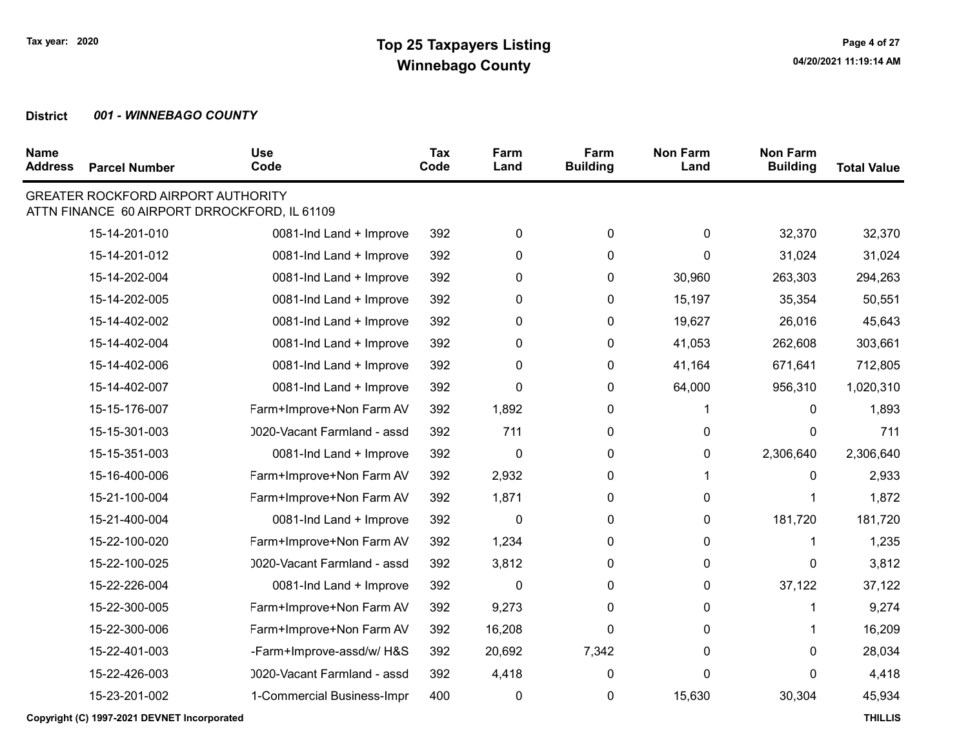| <b>Name</b><br><b>Address</b> | <b>Parcel Number</b>                      | <b>Use</b><br>Code                           | Tax<br>Code | Farm<br>Land | Farm<br><b>Building</b> | <b>Non Farm</b><br>Land | <b>Non Farm</b><br><b>Building</b> | <b>Total Value</b> |
|-------------------------------|-------------------------------------------|----------------------------------------------|-------------|--------------|-------------------------|-------------------------|------------------------------------|--------------------|
|                               | <b>GREATER ROCKFORD AIRPORT AUTHORITY</b> | ATTN FINANCE 60 AIRPORT DRROCKFORD, IL 61109 |             |              |                         |                         |                                    |                    |
|                               | 15-14-201-010                             | 0081-Ind Land + Improve                      | 392         | $\pmb{0}$    | $\pmb{0}$               | $\pmb{0}$               | 32,370                             | 32,370             |
|                               | 15-14-201-012                             | 0081-Ind Land + Improve                      | 392         | $\pmb{0}$    | 0                       | 0                       | 31,024                             | 31,024             |
|                               | 15-14-202-004                             | 0081-Ind Land + Improve                      | 392         | $\pmb{0}$    | 0                       | 30,960                  | 263,303                            | 294,263            |
|                               | 15-14-202-005                             | 0081-Ind Land + Improve                      | 392         | 0            | 0                       | 15,197                  | 35,354                             | 50,551             |
|                               | 15-14-402-002                             | 0081-Ind Land + Improve                      | 392         | 0            | 0                       | 19,627                  | 26,016                             | 45,643             |
|                               | 15-14-402-004                             | 0081-Ind Land + Improve                      | 392         | 0            | 0                       | 41,053                  | 262,608                            | 303,661            |
|                               | 15-14-402-006                             | 0081-Ind Land + Improve                      | 392         | 0            | 0                       | 41,164                  | 671,641                            | 712,805            |
|                               | 15-14-402-007                             | 0081-Ind Land + Improve                      | 392         | 0            | 0                       | 64,000                  | 956,310                            | 1,020,310          |
|                               | 15-15-176-007                             | Farm+Improve+Non Farm AV                     | 392         | 1,892        | 0                       | 1.                      | 0                                  | 1,893              |
|                               | 15-15-301-003                             | 0020-Vacant Farmland - assd                  | 392         | 711          | 0                       | 0                       | 0                                  | 711                |
|                               | 15-15-351-003                             | 0081-Ind Land + Improve                      | 392         | 0            | 0                       | 0                       | 2,306,640                          | 2,306,640          |
|                               | 15-16-400-006                             | Farm+Improve+Non Farm AV                     | 392         | 2,932        | 0                       | 1                       | 0                                  | 2,933              |
|                               | 15-21-100-004                             | Farm+Improve+Non Farm AV                     | 392         | 1,871        | 0                       | 0                       | 1                                  | 1,872              |
|                               | 15-21-400-004                             | 0081-Ind Land + Improve                      | 392         | $\mathbf 0$  | 0                       | 0                       | 181,720                            | 181,720            |
|                               | 15-22-100-020                             | Farm+Improve+Non Farm AV                     | 392         | 1,234        | 0                       | 0                       | 1                                  | 1,235              |
|                               | 15-22-100-025                             | 0020-Vacant Farmland - assd                  | 392         | 3,812        | 0                       | 0                       | 0                                  | 3,812              |
|                               | 15-22-226-004                             | 0081-Ind Land + Improve                      | 392         | $\mathbf{0}$ | 0                       | 0                       | 37,122                             | 37,122             |
|                               | 15-22-300-005                             | Farm+Improve+Non Farm AV                     | 392         | 9,273        | 0                       | 0                       | 1                                  | 9,274              |
|                               | 15-22-300-006                             | Farm+Improve+Non Farm AV                     | 392         | 16,208       | 0                       | 0                       | 1                                  | 16,209             |
|                               | 15-22-401-003                             | -Farm+Improve-assd/w/ H&S                    | 392         | 20,692       | 7,342                   | 0                       | 0                                  | 28,034             |
|                               | 15-22-426-003                             | 0020-Vacant Farmland - assd                  | 392         | 4,418        | $\mathbf 0$             | 0                       | 0                                  | 4,418              |
|                               | 15-23-201-002                             | 1-Commercial Business-Impr                   | 400         | 0            | 0                       | 15,630                  | 30,304                             | 45,934             |

Copyright (C) 1997-2021 DEVNET Incorporated THILLIS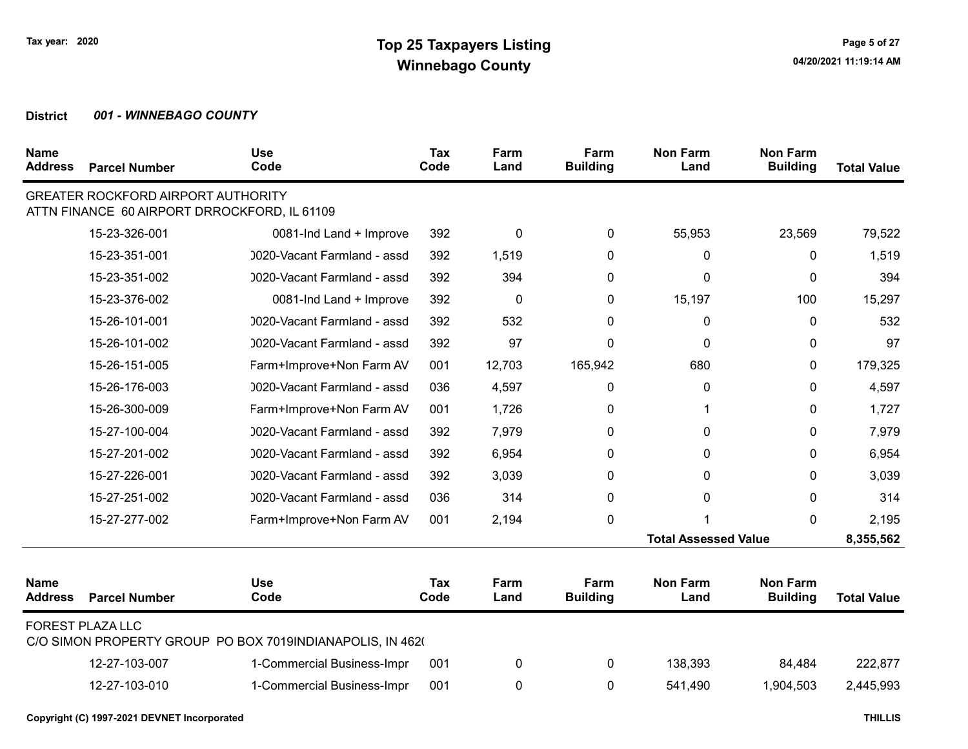| <b>Name</b><br><b>Address</b> | <b>Parcel Number</b>                                                                      | <b>Use</b><br>Code                                        | <b>Tax</b><br>Code | Farm<br>Land | Farm<br><b>Building</b> | <b>Non Farm</b><br>Land     | <b>Non Farm</b><br><b>Building</b> | <b>Total Value</b> |
|-------------------------------|-------------------------------------------------------------------------------------------|-----------------------------------------------------------|--------------------|--------------|-------------------------|-----------------------------|------------------------------------|--------------------|
|                               | <b>GREATER ROCKFORD AIRPORT AUTHORITY</b><br>ATTN FINANCE 60 AIRPORT DRROCKFORD, IL 61109 |                                                           |                    |              |                         |                             |                                    |                    |
|                               | 15-23-326-001                                                                             | 0081-Ind Land + Improve                                   | 392                | 0            | $\mathbf{0}$            | 55,953                      | 23,569                             | 79,522             |
|                               | 15-23-351-001                                                                             | 0020-Vacant Farmland - assd                               | 392                | 1,519        | 0                       | $\mathbf{0}$                | $\Omega$                           | 1,519              |
|                               | 15-23-351-002                                                                             | 0020-Vacant Farmland - assd                               | 392                | 394          | 0                       | $\mathbf{0}$                | $\mathbf{0}$                       | 394                |
|                               | 15-23-376-002                                                                             | 0081-Ind Land + Improve                                   | 392                | $\mathbf 0$  | $\Omega$                | 15,197                      | 100                                | 15,297             |
|                               | 15-26-101-001                                                                             | 0020-Vacant Farmland - assd                               | 392                | 532          | 0                       | 0                           | 0                                  | 532                |
|                               | 15-26-101-002                                                                             | 0020-Vacant Farmland - assd                               | 392                | 97           | 0                       | 0                           | $\mathbf{0}$                       | 97                 |
|                               | 15-26-151-005                                                                             | Farm+Improve+Non Farm AV                                  | 001                | 12,703       | 165,942                 | 680                         | 0                                  | 179,325            |
|                               | 15-26-176-003                                                                             | 0020-Vacant Farmland - assd                               | 036                | 4,597        | 0                       | 0                           | $\mathbf{0}$                       | 4,597              |
|                               | 15-26-300-009                                                                             | Farm+Improve+Non Farm AV                                  | 001                | 1,726        | $\mathbf{0}$            |                             | $\mathbf{0}$                       | 1,727              |
|                               | 15-27-100-004                                                                             | 0020-Vacant Farmland - assd                               | 392                | 7,979        | 0                       | $\mathbf{0}$                | $\Omega$                           | 7,979              |
|                               | 15-27-201-002                                                                             | 0020-Vacant Farmland - assd                               | 392                | 6,954        | 0                       | $\mathbf{0}$                | $\mathbf{0}$                       | 6,954              |
|                               | 15-27-226-001                                                                             | 0020-Vacant Farmland - assd                               | 392                | 3,039        | 0                       | $\mathbf{0}$                | $\Omega$                           | 3,039              |
|                               | 15-27-251-002                                                                             | 0020-Vacant Farmland - assd                               | 036                | 314          | $\mathbf{0}$            | $\mathbf 0$                 | $\Omega$                           | 314                |
|                               | 15-27-277-002                                                                             | Farm+Improve+Non Farm AV                                  | 001                | 2,194        | 0                       |                             | $\mathbf{0}$                       | 2,195              |
|                               |                                                                                           |                                                           |                    |              |                         | <b>Total Assessed Value</b> |                                    | 8,355,562          |
| <b>Name</b><br><b>Address</b> | <b>Parcel Number</b>                                                                      | <b>Use</b><br>Code                                        | Tax<br>Code        | Farm<br>Land | Farm<br><b>Building</b> | <b>Non Farm</b><br>Land     | <b>Non Farm</b><br><b>Building</b> | <b>Total Value</b> |
|                               | <b>FOREST PLAZA LLC</b>                                                                   | C/O SIMON PROPERTY GROUP PO BOX 7019INDIANAPOLIS, IN 4620 |                    |              |                         |                             |                                    |                    |
|                               | 12-27-103-007                                                                             | 1-Commercial Business-Impr                                | 001                | 0            | 0                       | 138,393                     | 84,484                             | 222,877            |
|                               | 12-27-103-010                                                                             | 1-Commercial Business-Impr                                | 001                | 0            | 0                       | 541,490                     | 1,904,503                          | 2,445,993          |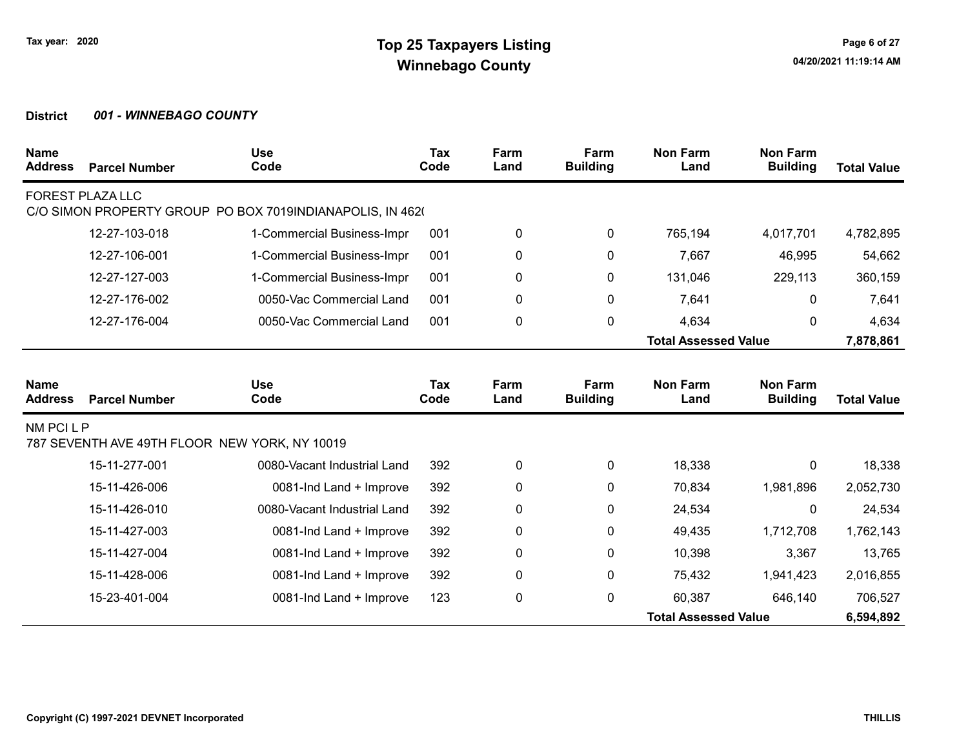| <b>Name</b><br><b>Address</b> | <b>Parcel Number</b>    | <b>Use</b><br>Code                                        | Tax<br>Code | Farm<br>Land | Farm<br><b>Building</b> | <b>Non Farm</b><br>Land     | <b>Non Farm</b><br><b>Building</b> | <b>Total Value</b> |
|-------------------------------|-------------------------|-----------------------------------------------------------|-------------|--------------|-------------------------|-----------------------------|------------------------------------|--------------------|
|                               | <b>FOREST PLAZA LLC</b> |                                                           |             |              |                         |                             |                                    |                    |
|                               |                         | C/O SIMON PROPERTY GROUP PO BOX 7019INDIANAPOLIS, IN 4620 |             |              |                         |                             |                                    |                    |
|                               | 12-27-103-018           | 1-Commercial Business-Impr                                | 001         | 0            | 0                       | 765,194                     | 4,017,701                          | 4,782,895          |
|                               | 12-27-106-001           | 1-Commercial Business-Impr                                | 001         | 0            | 0                       | 7,667                       | 46,995                             | 54,662             |
|                               | 12-27-127-003           | 1-Commercial Business-Impr                                | 001         | 0            | 0                       | 131,046                     | 229,113                            | 360,159            |
|                               | 12-27-176-002           | 0050-Vac Commercial Land                                  | 001         | 0            | 0                       | 7,641                       | 0                                  | 7,641              |
|                               | 12-27-176-004           | 0050-Vac Commercial Land                                  | 001         | $\pmb{0}$    | 0                       | 4,634                       | 0                                  | 4,634              |
|                               |                         |                                                           |             |              |                         | <b>Total Assessed Value</b> |                                    | 7,878,861          |
|                               |                         |                                                           |             |              |                         |                             |                                    |                    |
| <b>Name</b><br><b>Address</b> | <b>Parcel Number</b>    | <b>Use</b><br>Code                                        | Tax<br>Code | Farm<br>Land | Farm<br><b>Building</b> | <b>Non Farm</b><br>Land     | <b>Non Farm</b><br><b>Building</b> | <b>Total Value</b> |
| NM PCI L P                    |                         | 787 SEVENTH AVE 49TH FLOOR NEW YORK, NY 10019             |             |              |                         |                             |                                    |                    |
|                               | 15-11-277-001           | 0080-Vacant Industrial Land                               | 392         | $\pmb{0}$    | $\mathbf 0$             | 18,338                      | 0                                  | 18,338             |
|                               | 15-11-426-006           | 0081-Ind Land + Improve                                   | 392         | 0            | 0                       | 70,834                      | 1,981,896                          | 2,052,730          |
|                               | 15-11-426-010           | 0080-Vacant Industrial Land                               | 392         | $\pmb{0}$    | 0                       | 24,534                      | 0                                  | 24,534             |
|                               | 15-11-427-003           | 0081-Ind Land + Improve                                   | 392         | $\pmb{0}$    | 0                       | 49,435                      | 1,712,708                          | 1,762,143          |
|                               | 15-11-427-004           | 0081-Ind Land + Improve                                   | 392         | $\pmb{0}$    | 0                       | 10,398                      | 3,367                              | 13,765             |
|                               | 15-11-428-006           | 0081-Ind Land + Improve                                   | 392         | $\pmb{0}$    | 0                       | 75,432                      | 1,941,423                          | 2,016,855          |
|                               | 15-23-401-004           | 0081-Ind Land + Improve                                   | 123         | $\pmb{0}$    | 0                       | 60,387                      | 646,140                            | 706,527            |
|                               |                         |                                                           |             |              |                         | <b>Total Assessed Value</b> |                                    | 6,594,892          |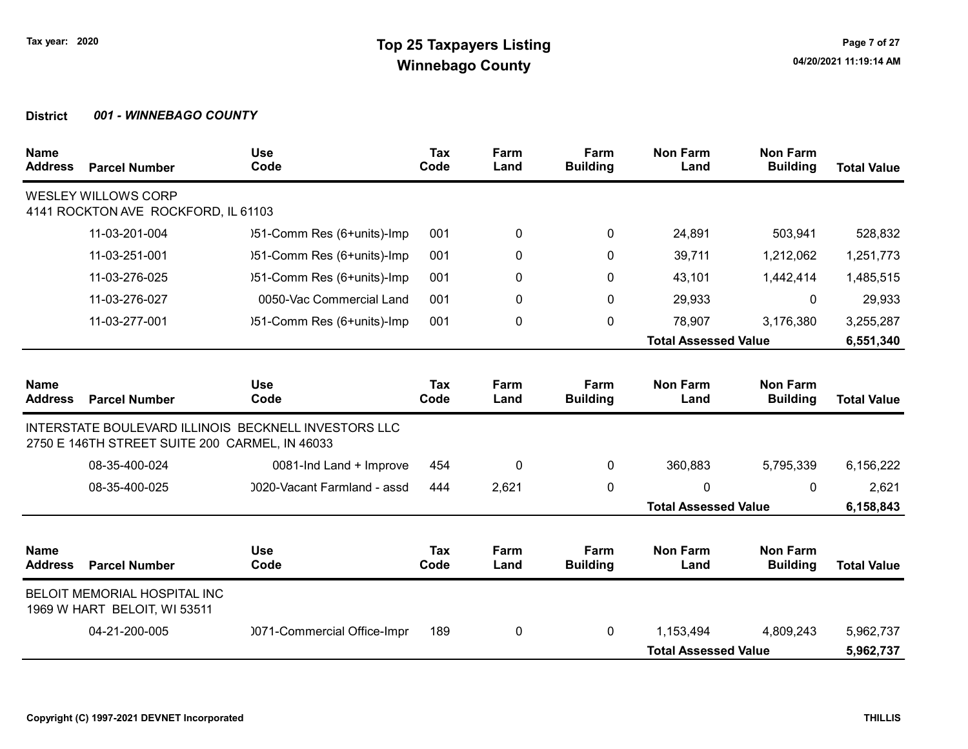| <b>Name</b><br><b>Address</b> | <b>Parcel Number</b>                                              | <b>Use</b><br>Code                                   | <b>Tax</b><br>Code | Farm<br>Land | Farm<br><b>Building</b> | <b>Non Farm</b><br>Land     | <b>Non Farm</b><br><b>Building</b> | <b>Total Value</b> |
|-------------------------------|-------------------------------------------------------------------|------------------------------------------------------|--------------------|--------------|-------------------------|-----------------------------|------------------------------------|--------------------|
|                               | <b>WESLEY WILLOWS CORP</b><br>4141 ROCKTON AVE ROCKFORD, IL 61103 |                                                      |                    |              |                         |                             |                                    |                    |
|                               | 11-03-201-004                                                     | )51-Comm Res (6+units)-Imp                           | 001                | 0            | 0                       | 24,891                      | 503,941                            | 528,832            |
|                               | 11-03-251-001                                                     | )51-Comm Res (6+units)-Imp                           | 001                | 0            | $\mathbf{0}$            | 39,711                      | 1,212,062                          | 1,251,773          |
|                               | 11-03-276-025                                                     | )51-Comm Res (6+units)-Imp                           | 001                | 0            | 0                       | 43,101                      | 1,442,414                          | 1,485,515          |
|                               | 11-03-276-027                                                     | 0050-Vac Commercial Land                             | 001                | 0            | 0                       | 29,933                      | 0                                  | 29,933             |
|                               | 11-03-277-001                                                     | )51-Comm Res (6+units)-Imp                           | 001                | 0            | 0                       | 78,907                      | 3,176,380                          | 3,255,287          |
|                               |                                                                   |                                                      |                    |              |                         | <b>Total Assessed Value</b> |                                    | 6,551,340          |
| <b>Name</b>                   |                                                                   | <b>Use</b>                                           | Tax                | Farm         | Farm                    | <b>Non Farm</b>             | <b>Non Farm</b>                    |                    |
| <b>Address</b>                | <b>Parcel Number</b>                                              | Code                                                 | Code               | Land         | <b>Building</b>         | Land                        | <b>Building</b>                    | <b>Total Value</b> |
|                               | 2750 E 146TH STREET SUITE 200 CARMEL, IN 46033                    | INTERSTATE BOULEVARD ILLINOIS BECKNELL INVESTORS LLC |                    |              |                         |                             |                                    |                    |
|                               | 08-35-400-024                                                     | 0081-Ind Land + Improve                              | 454                | 0            | 0                       | 360,883                     | 5,795,339                          | 6,156,222          |
|                               | 08-35-400-025                                                     | 0020-Vacant Farmland - assd                          | 444                | 2,621        | $\mathbf 0$             | 0                           | $\mathbf{0}$                       | 2,621              |
|                               |                                                                   |                                                      |                    |              |                         | <b>Total Assessed Value</b> |                                    | 6,158,843          |
| <b>Name</b><br><b>Address</b> | <b>Parcel Number</b>                                              | <b>Use</b><br>Code                                   | Tax<br>Code        | Farm<br>Land | Farm<br><b>Building</b> | <b>Non Farm</b><br>Land     | <b>Non Farm</b><br><b>Building</b> | <b>Total Value</b> |
|                               | BELOIT MEMORIAL HOSPITAL INC<br>1969 W HART BELOIT, WI 53511      |                                                      |                    |              |                         |                             |                                    |                    |
|                               | 04-21-200-005                                                     | 0071-Commercial Office-Impr                          | 189                | 0            | $\mathbf{0}$            | 1,153,494                   | 4,809,243                          | 5,962,737          |
|                               |                                                                   |                                                      |                    |              |                         | <b>Total Assessed Value</b> |                                    | 5,962,737          |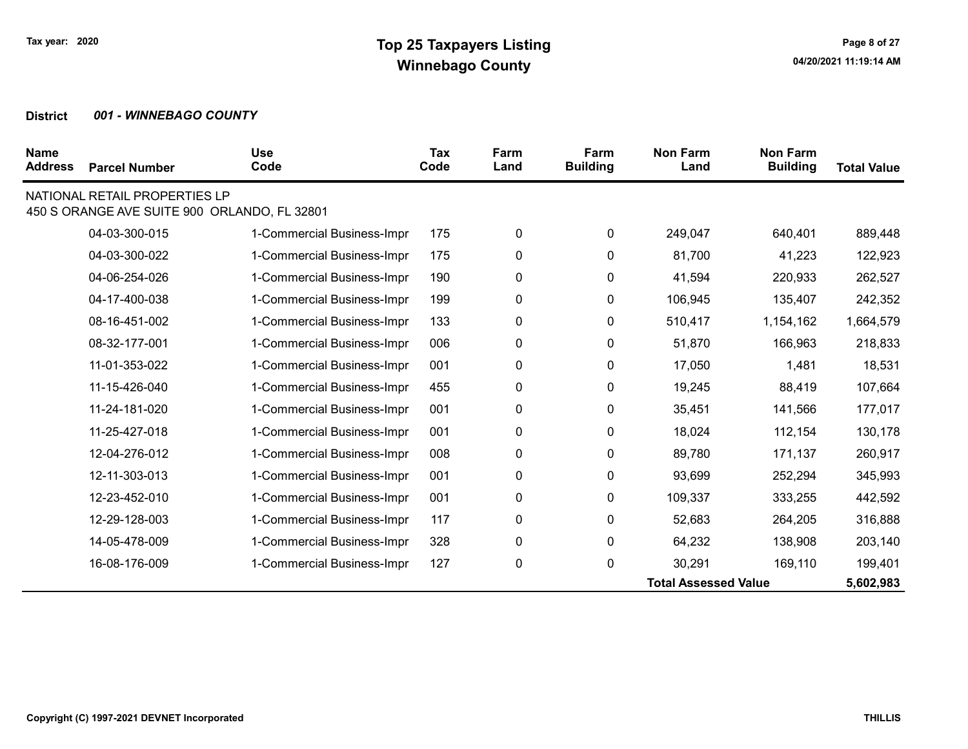| <b>Name</b><br><b>Address</b> | <b>Parcel Number</b>                                                          | <b>Use</b><br>Code         | Tax<br>Code | Farm<br>Land | Farm<br><b>Building</b> | <b>Non Farm</b><br>Land     | <b>Non Farm</b><br><b>Building</b> | <b>Total Value</b> |
|-------------------------------|-------------------------------------------------------------------------------|----------------------------|-------------|--------------|-------------------------|-----------------------------|------------------------------------|--------------------|
|                               | NATIONAL RETAIL PROPERTIES LP<br>450 S ORANGE AVE SUITE 900 ORLANDO, FL 32801 |                            |             |              |                         |                             |                                    |                    |
|                               | 04-03-300-015                                                                 | 1-Commercial Business-Impr | 175         | 0            | 0                       | 249,047                     | 640,401                            | 889,448            |
|                               | 04-03-300-022                                                                 | 1-Commercial Business-Impr | 175         | 0            | 0                       | 81,700                      | 41,223                             | 122,923            |
|                               | 04-06-254-026                                                                 | 1-Commercial Business-Impr | 190         | 0            | 0                       | 41,594                      | 220,933                            | 262,527            |
|                               | 04-17-400-038                                                                 | 1-Commercial Business-Impr | 199         | 0            | 0                       | 106,945                     | 135,407                            | 242,352            |
|                               | 08-16-451-002                                                                 | 1-Commercial Business-Impr | 133         | 0            | 0                       | 510,417                     | 1,154,162                          | 1,664,579          |
|                               | 08-32-177-001                                                                 | 1-Commercial Business-Impr | 006         | 0            | 0                       | 51,870                      | 166,963                            | 218,833            |
|                               | 11-01-353-022                                                                 | 1-Commercial Business-Impr | 001         | 0            | 0                       | 17,050                      | 1,481                              | 18,531             |
|                               | 11-15-426-040                                                                 | 1-Commercial Business-Impr | 455         | 0            | 0                       | 19,245                      | 88,419                             | 107,664            |
|                               | 11-24-181-020                                                                 | 1-Commercial Business-Impr | 001         | 0            | 0                       | 35,451                      | 141,566                            | 177,017            |
|                               | 11-25-427-018                                                                 | 1-Commercial Business-Impr | 001         | 0            | 0                       | 18,024                      | 112,154                            | 130,178            |
|                               | 12-04-276-012                                                                 | 1-Commercial Business-Impr | 008         | 0            | 0                       | 89,780                      | 171,137                            | 260,917            |
|                               | 12-11-303-013                                                                 | 1-Commercial Business-Impr | 001         | 0            | 0                       | 93,699                      | 252,294                            | 345,993            |
|                               | 12-23-452-010                                                                 | 1-Commercial Business-Impr | 001         | 0            | 0                       | 109,337                     | 333,255                            | 442,592            |
|                               | 12-29-128-003                                                                 | 1-Commercial Business-Impr | 117         | 0            | 0                       | 52,683                      | 264,205                            | 316,888            |
|                               | 14-05-478-009                                                                 | 1-Commercial Business-Impr | 328         | 0            | 0                       | 64,232                      | 138,908                            | 203,140            |
|                               | 16-08-176-009                                                                 | 1-Commercial Business-Impr | 127         | 0            | 0                       | 30,291                      | 169,110                            | 199,401            |
|                               |                                                                               |                            |             |              |                         | <b>Total Assessed Value</b> |                                    | 5,602,983          |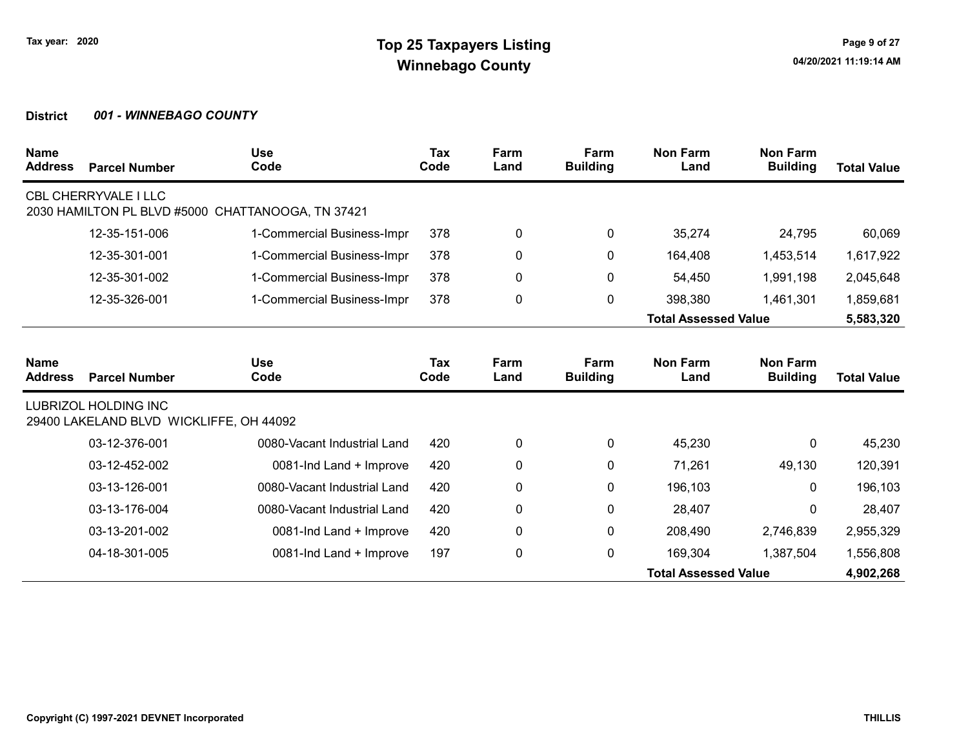| <b>Name</b><br><b>Address</b> | <b>Parcel Number</b>                                                   | <b>Use</b><br>Code          | <b>Tax</b><br>Code | Farm<br>Land | Farm<br><b>Building</b> | <b>Non Farm</b><br>Land     | <b>Non Farm</b><br><b>Building</b> | <b>Total Value</b> |
|-------------------------------|------------------------------------------------------------------------|-----------------------------|--------------------|--------------|-------------------------|-----------------------------|------------------------------------|--------------------|
|                               | <b>CBL CHERRYVALE I LLC</b><br>2030 HAMILTON PL BLVD #5000             | CHATTANOOGA, TN 37421       |                    |              |                         |                             |                                    |                    |
|                               | 12-35-151-006                                                          | 1-Commercial Business-Impr  | 378                | 0            | $\mathbf{0}$            | 35,274                      | 24,795                             | 60,069             |
|                               | 12-35-301-001                                                          | 1-Commercial Business-Impr  | 378                | 0            | 0                       | 164,408                     | 1,453,514                          | 1,617,922          |
|                               | 12-35-301-002                                                          | 1-Commercial Business-Impr  | 378                | 0            | 0                       | 54,450                      | 1,991,198                          | 2,045,648          |
|                               | 12-35-326-001                                                          | 1-Commercial Business-Impr  | 378                | 0            | $\mathbf{0}$            | 398,380                     | 1,461,301                          | 1,859,681          |
|                               |                                                                        |                             |                    |              |                         | <b>Total Assessed Value</b> |                                    | 5,583,320          |
| <b>Name</b><br><b>Address</b> | <b>Parcel Number</b>                                                   | <b>Use</b><br>Code          | <b>Tax</b><br>Code | Farm<br>Land | Farm<br><b>Building</b> | <b>Non Farm</b><br>Land     | <b>Non Farm</b><br><b>Building</b> | <b>Total Value</b> |
|                               | <b>LUBRIZOL HOLDING INC</b><br>29400 LAKELAND BLVD WICKLIFFE, OH 44092 |                             |                    |              |                         |                             |                                    |                    |
|                               | 03-12-376-001                                                          | 0080-Vacant Industrial Land | 420                | 0            | $\mathbf{0}$            | 45,230                      | $\mathbf{0}$                       | 45,230             |
|                               | 03-12-452-002                                                          | 0081-Ind Land + Improve     | 420                | 0            | 0                       | 71,261                      | 49,130                             | 120,391            |
|                               | 03-13-126-001                                                          | 0080-Vacant Industrial Land | 420                | 0            | 0                       | 196,103                     | $\Omega$                           | 196,103            |
|                               | 03-13-176-004                                                          | 0080-Vacant Industrial Land | 420                | 0            | 0                       | 28,407                      | $\Omega$                           | 28,407             |
|                               | 03-13-201-002                                                          | 0081-Ind Land + Improve     | 420                | 0            | $\mathbf 0$             | 208,490                     | 2,746,839                          | 2,955,329          |
|                               | 04-18-301-005                                                          | 0081-Ind Land + Improve     | 197                | 0            | $\mathbf 0$             | 169,304                     | 1,387,504                          | 1,556,808          |
|                               |                                                                        |                             |                    |              |                         | <b>Total Assessed Value</b> |                                    | 4,902,268          |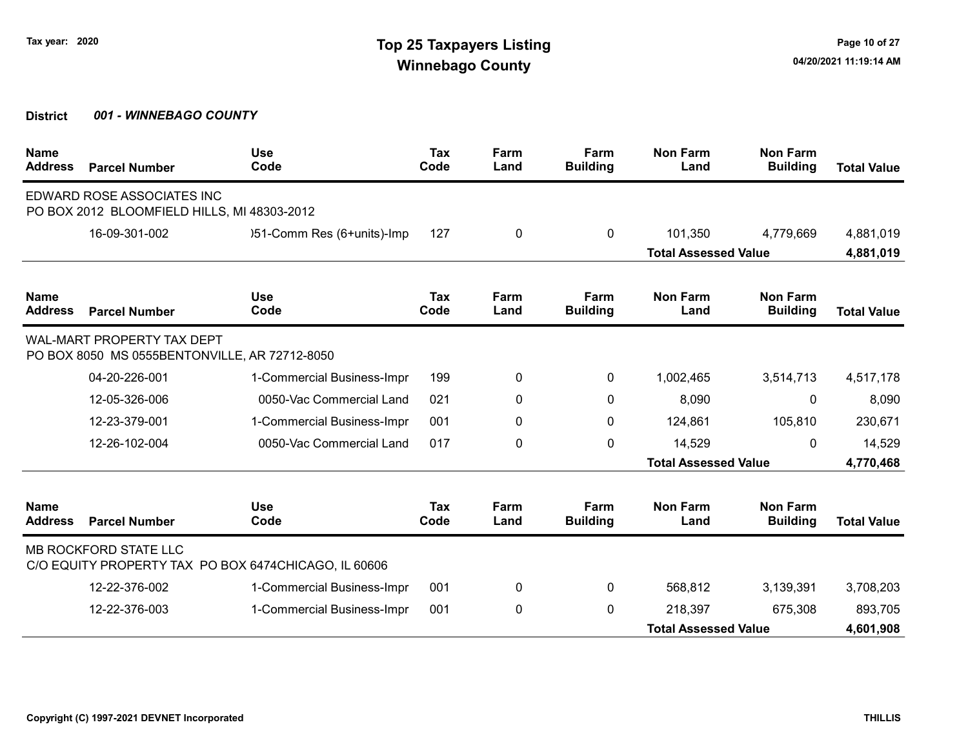| <b>Name</b><br><b>Address</b> | <b>Parcel Number</b>                                                               | <b>Use</b><br>Code                                   | <b>Tax</b><br>Code | Farm<br>Land | Farm<br><b>Building</b> | <b>Non Farm</b><br>Land     | <b>Non Farm</b><br><b>Building</b> | <b>Total Value</b> |
|-------------------------------|------------------------------------------------------------------------------------|------------------------------------------------------|--------------------|--------------|-------------------------|-----------------------------|------------------------------------|--------------------|
|                               | EDWARD ROSE ASSOCIATES INC<br>PO BOX 2012 BLOOMFIELD HILLS, MI 48303-2012          |                                                      |                    |              |                         |                             |                                    |                    |
|                               | 16-09-301-002                                                                      | )51-Comm Res (6+units)-Imp                           | 127                | 0            | $\mathbf{0}$            | 101,350                     | 4,779,669                          | 4,881,019          |
|                               |                                                                                    |                                                      |                    |              |                         | <b>Total Assessed Value</b> |                                    | 4,881,019          |
| <b>Name</b><br><b>Address</b> | <b>Parcel Number</b>                                                               | <b>Use</b><br>Code                                   | Tax<br>Code        | Farm<br>Land | Farm<br><b>Building</b> | <b>Non Farm</b><br>Land     | <b>Non Farm</b><br><b>Building</b> | <b>Total Value</b> |
|                               | <b>WAL-MART PROPERTY TAX DEPT</b><br>PO BOX 8050 MS 0555BENTONVILLE, AR 72712-8050 |                                                      |                    |              |                         |                             |                                    |                    |
|                               | 04-20-226-001                                                                      | 1-Commercial Business-Impr                           | 199                | 0            | 0                       | 1,002,465                   | 3,514,713                          | 4,517,178          |
|                               | 12-05-326-006                                                                      | 0050-Vac Commercial Land                             | 021                | 0            | $\mathbf{0}$            | 8,090                       | 0                                  | 8,090              |
|                               | 12-23-379-001                                                                      | 1-Commercial Business-Impr                           | 001                | 0            | 0                       | 124,861                     | 105,810                            | 230,671            |
|                               | 12-26-102-004                                                                      | 0050-Vac Commercial Land                             | 017                | 0            | $\mathbf{0}$            | 14,529                      | 0                                  | 14,529             |
|                               |                                                                                    |                                                      |                    |              |                         | <b>Total Assessed Value</b> |                                    | 4,770,468          |
| <b>Name</b><br><b>Address</b> | <b>Parcel Number</b>                                                               | <b>Use</b><br>Code                                   | Tax<br>Code        | Farm<br>Land | Farm<br><b>Building</b> | <b>Non Farm</b><br>Land     | <b>Non Farm</b><br><b>Building</b> | <b>Total Value</b> |
|                               | <b>MB ROCKFORD STATE LLC</b>                                                       | C/O EQUITY PROPERTY TAX PO BOX 6474CHICAGO, IL 60606 |                    |              |                         |                             |                                    |                    |
|                               | 12-22-376-002                                                                      | 1-Commercial Business-Impr                           | 001                | 0            | $\mathbf{0}$            | 568,812                     | 3,139,391                          | 3,708,203          |
|                               | 12-22-376-003                                                                      | 1-Commercial Business-Impr                           | 001                | 0            | 0                       | 218,397                     | 675,308                            | 893,705            |
|                               |                                                                                    |                                                      |                    |              |                         | <b>Total Assessed Value</b> |                                    | 4,601,908          |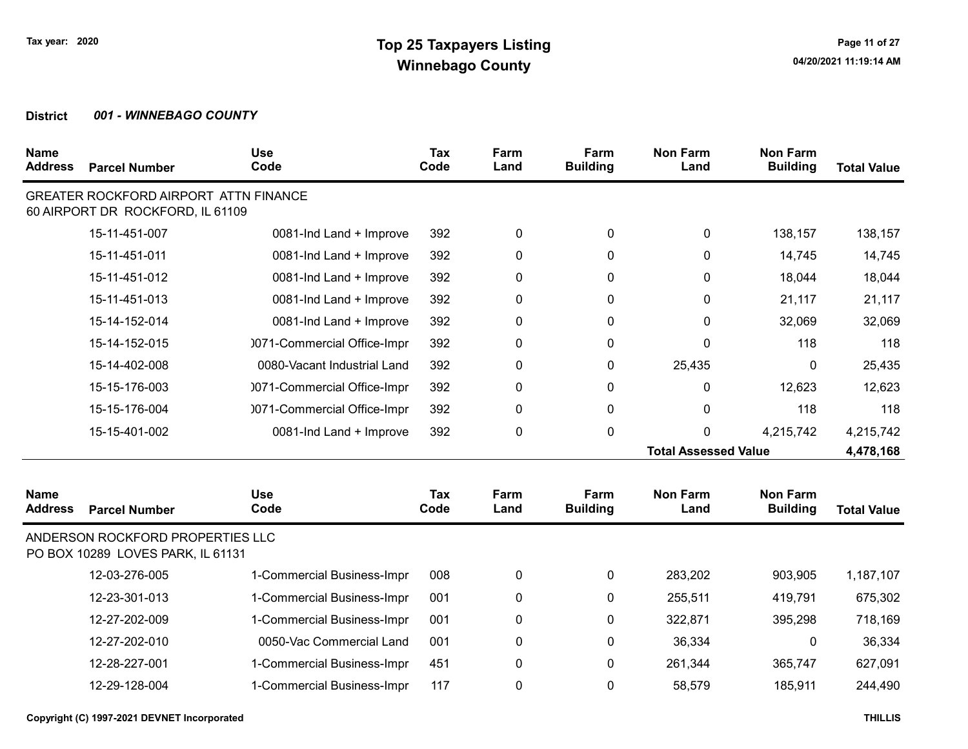| <b>Name</b><br><b>Address</b> | <b>Parcel Number</b>                                                             | <b>Use</b><br>Code          | <b>Tax</b><br>Code | Farm<br>Land | Farm<br><b>Building</b> | <b>Non Farm</b><br>Land     | <b>Non Farm</b><br><b>Building</b> | <b>Total Value</b> |
|-------------------------------|----------------------------------------------------------------------------------|-----------------------------|--------------------|--------------|-------------------------|-----------------------------|------------------------------------|--------------------|
|                               | <b>GREATER ROCKFORD AIRPORT ATTN FINANCE</b><br>60 AIRPORT DR ROCKFORD, IL 61109 |                             |                    |              |                         |                             |                                    |                    |
|                               | 15-11-451-007                                                                    | 0081-Ind Land + Improve     | 392                | 0            | 0                       | 0                           | 138,157                            | 138,157            |
|                               | 15-11-451-011                                                                    | 0081-Ind Land + Improve     | 392                | 0            | $\mathbf{0}$            | 0                           | 14,745                             | 14,745             |
|                               | 15-11-451-012                                                                    | 0081-Ind Land + Improve     | 392                | 0            | 0                       | 0                           | 18,044                             | 18,044             |
|                               | 15-11-451-013                                                                    | 0081-Ind Land + Improve     | 392                | 0            | 0                       | 0                           | 21,117                             | 21,117             |
|                               | 15-14-152-014                                                                    | 0081-Ind Land + Improve     | 392                | 0            | 0                       | 0                           | 32,069                             | 32,069             |
|                               | 15-14-152-015                                                                    | 0071-Commercial Office-Impr | 392                | 0            | 0                       | 0                           | 118                                | 118                |
|                               | 15-14-402-008                                                                    | 0080-Vacant Industrial Land | 392                | 0            | 0                       | 25,435                      | 0                                  | 25,435             |
|                               | 15-15-176-003                                                                    | 0071-Commercial Office-Impr | 392                | 0            | 0                       | 0                           | 12,623                             | 12,623             |
|                               | 15-15-176-004                                                                    | 0071-Commercial Office-Impr | 392                | 0            | 0                       | 0                           | 118                                | 118                |
|                               | 15-15-401-002                                                                    | 0081-Ind Land + Improve     | 392                | 0            | 0                       | 0                           | 4,215,742                          | 4,215,742          |
|                               |                                                                                  |                             |                    |              |                         | <b>Total Assessed Value</b> |                                    | 4,478,168          |
| <b>Name</b><br><b>Address</b> | <b>Parcel Number</b>                                                             | <b>Use</b><br>Code          | Tax<br>Code        | Farm<br>Land | Farm<br><b>Building</b> | <b>Non Farm</b><br>Land     | <b>Non Farm</b><br><b>Building</b> | <b>Total Value</b> |
|                               | ANDERSON ROCKFORD PROPERTIES LLC<br>PO BOX 10289 LOVES PARK, IL 61131            |                             |                    |              |                         |                             |                                    |                    |
|                               | 12-03-276-005                                                                    | 1-Commercial Business-Impr  | 008                | 0            | 0                       | 283,202                     | 903,905                            | 1,187,107          |
|                               | 12-23-301-013                                                                    | 1-Commercial Business-Impr  | 001                | 0            | 0                       | 255,511                     | 419,791                            | 675,302            |
|                               | 12-27-202-009                                                                    | 1-Commercial Business-Impr  | 001                | 0            | 0                       | 322,871                     | 395,298                            | 718,169            |
|                               | 12-27-202-010                                                                    | 0050-Vac Commercial Land    | 001                | 0            | 0                       | 36,334                      | $\mathbf 0$                        | 36,334             |
|                               | 12-28-227-001                                                                    | 1-Commercial Business-Impr  | 451                | 0            | 0                       | 261,344                     | 365,747                            | 627,091            |
|                               | 12-29-128-004                                                                    | 1-Commercial Business-Impr  | 117                | 0            | $\mathbf 0$             | 58,579                      | 185,911                            | 244,490            |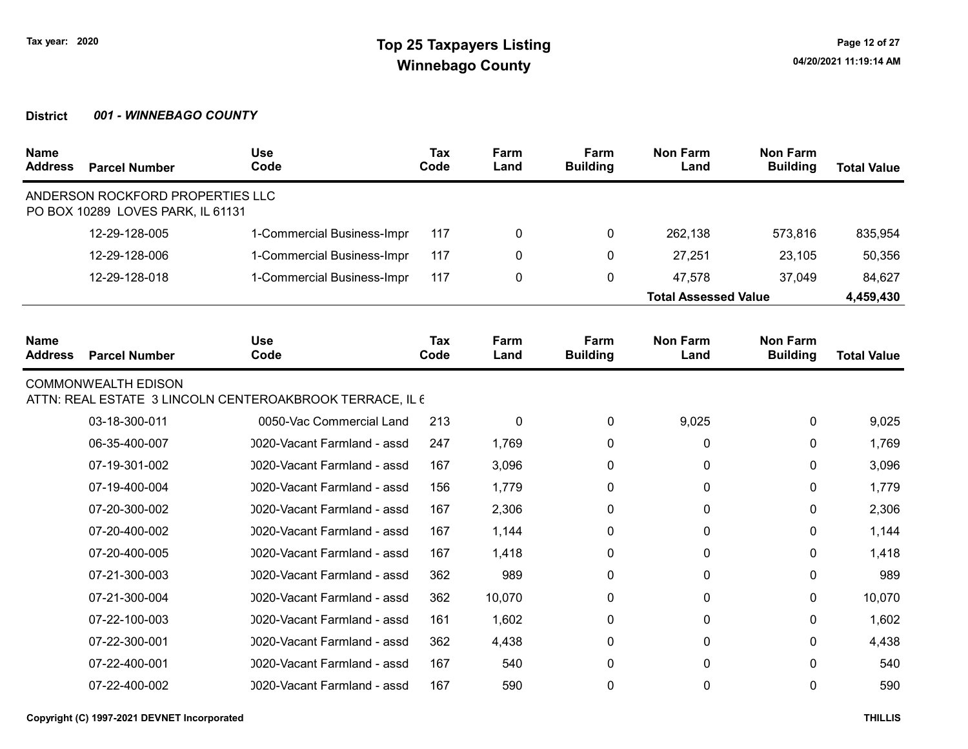| <b>Name</b><br><b>Address</b> | <b>Parcel Number</b>                                                  | <b>Use</b><br>Code                                       | <b>Tax</b><br>Code | Farm<br>Land | Farm<br><b>Building</b> | <b>Non Farm</b><br>Land     | <b>Non Farm</b><br><b>Building</b> | <b>Total Value</b> |
|-------------------------------|-----------------------------------------------------------------------|----------------------------------------------------------|--------------------|--------------|-------------------------|-----------------------------|------------------------------------|--------------------|
|                               | ANDERSON ROCKFORD PROPERTIES LLC<br>PO BOX 10289 LOVES PARK, IL 61131 |                                                          |                    |              |                         |                             |                                    |                    |
|                               | 12-29-128-005                                                         | 1-Commercial Business-Impr                               | 117                | 0            | 0                       | 262,138                     | 573,816                            | 835,954            |
|                               | 12-29-128-006                                                         | 1-Commercial Business-Impr                               | 117                | 0            | $\Omega$                | 27,251                      | 23,105                             | 50,356             |
|                               | 12-29-128-018                                                         | 1-Commercial Business-Impr                               | 117                | 0            | 0                       | 47,578                      | 37,049                             | 84,627             |
|                               |                                                                       |                                                          |                    |              |                         | <b>Total Assessed Value</b> |                                    | 4,459,430          |
| <b>Name</b><br><b>Address</b> | <b>Parcel Number</b>                                                  | <b>Use</b><br>Code                                       | Tax<br>Code        | Farm<br>Land | Farm<br><b>Building</b> | <b>Non Farm</b><br>Land     | <b>Non Farm</b><br><b>Building</b> | <b>Total Value</b> |
|                               | <b>COMMONWEALTH EDISON</b>                                            | ATTN: REAL ESTATE 3 LINCOLN CENTEROAKBROOK TERRACE, IL 6 |                    |              |                         |                             |                                    |                    |
|                               | 03-18-300-011                                                         | 0050-Vac Commercial Land                                 | 213                | 0            | 0                       | 9,025                       | 0                                  | 9,025              |
|                               | 06-35-400-007                                                         | 0020-Vacant Farmland - assd                              | 247                | 1,769        | $\Omega$                | 0                           | $\mathbf{0}$                       | 1,769              |
|                               | 07-19-301-002                                                         | 0020-Vacant Farmland - assd                              | 167                | 3,096        | 0                       | 0                           | 0                                  | 3,096              |
|                               | 07-19-400-004                                                         | 0020-Vacant Farmland - assd                              | 156                | 1,779        | $\Omega$                | 0                           | $\mathbf{0}$                       | 1,779              |
|                               | 07-20-300-002                                                         | 0020-Vacant Farmland - assd                              | 167                | 2,306        | 0                       | 0                           | 0                                  | 2,306              |
|                               | 07-20-400-002                                                         | 0020-Vacant Farmland - assd                              | 167                | 1,144        | $\Omega$                | 0                           | $\mathbf{0}$                       | 1,144              |
|                               | 07-20-400-005                                                         | 0020-Vacant Farmland - assd                              | 167                | 1,418        | 0                       | 0                           | 0                                  | 1,418              |
|                               | 07-21-300-003                                                         | 0020-Vacant Farmland - assd                              | 362                | 989          | 0                       | 0                           | $\mathbf{0}$                       | 989                |
|                               | 07-21-300-004                                                         | 0020-Vacant Farmland - assd                              | 362                | 10,070       | 0                       | 0                           | 0                                  | 10,070             |
|                               | 07-22-100-003                                                         | 0020-Vacant Farmland - assd                              | 161                | 1,602        | 0                       | 0                           | $\mathbf{0}$                       | 1,602              |
|                               | 07-22-300-001                                                         | 0020-Vacant Farmland - assd                              | 362                | 4,438        | 0                       | 0                           | 0                                  | 4,438              |
|                               | 07-22-400-001                                                         | 0020-Vacant Farmland - assd                              | 167                | 540          | 0                       | 0                           | 0                                  | 540                |
|                               | 07-22-400-002                                                         | 0020-Vacant Farmland - assd                              | 167                | 590          | 0                       | 0                           | 0                                  | 590                |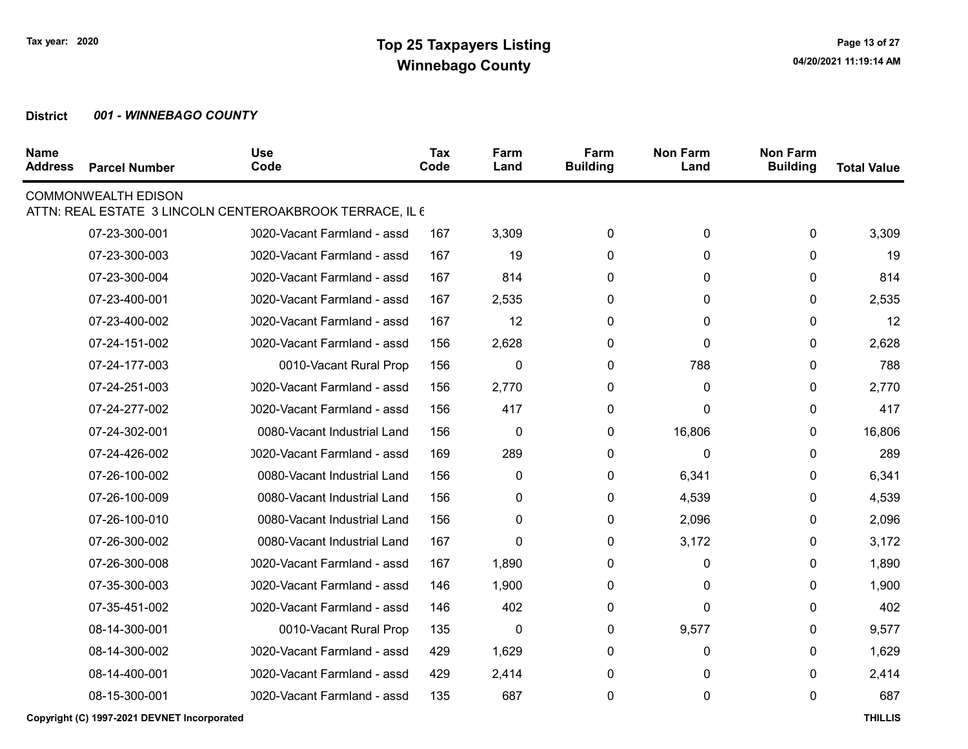| <b>Name</b><br><b>Address</b> | <b>Parcel Number</b>       | <b>Use</b><br>Code                                       | Tax<br>Code | Farm<br>Land | Farm<br><b>Building</b> | <b>Non Farm</b><br>Land | <b>Non Farm</b><br><b>Building</b> | <b>Total Value</b> |
|-------------------------------|----------------------------|----------------------------------------------------------|-------------|--------------|-------------------------|-------------------------|------------------------------------|--------------------|
|                               | <b>COMMONWEALTH EDISON</b> | ATTN: REAL ESTATE 3 LINCOLN CENTEROAKBROOK TERRACE, IL 6 |             |              |                         |                         |                                    |                    |
|                               | 07-23-300-001              | 0020-Vacant Farmland - assd                              | 167         | 3,309        | 0                       | 0                       | 0                                  | 3,309              |
|                               | 07-23-300-003              | 0020-Vacant Farmland - assd                              | 167         | 19           | 0                       | 0                       | 0                                  | 19                 |
|                               | 07-23-300-004              | 0020-Vacant Farmland - assd                              | 167         | 814          | 0                       | 0                       | 0                                  | 814                |
|                               | 07-23-400-001              | 0020-Vacant Farmland - assd                              | 167         | 2,535        | 0                       | 0                       | 0                                  | 2,535              |
|                               | 07-23-400-002              | 0020-Vacant Farmland - assd                              | 167         | 12           | 0                       | 0                       | 0                                  | 12                 |
|                               | 07-24-151-002              | 0020-Vacant Farmland - assd                              | 156         | 2,628        | 0                       | 0                       | 0                                  | 2,628              |
|                               | 07-24-177-003              | 0010-Vacant Rural Prop                                   | 156         | 0            | 0                       | 788                     | 0                                  | 788                |
|                               | 07-24-251-003              | 0020-Vacant Farmland - assd                              | 156         | 2,770        | 0                       | 0                       | $\mathbf{0}$                       | 2,770              |
|                               | 07-24-277-002              | 0020-Vacant Farmland - assd                              | 156         | 417          | 0                       | 0                       | 0                                  | 417                |
|                               | 07-24-302-001              | 0080-Vacant Industrial Land                              | 156         | $\pmb{0}$    | 0                       | 16,806                  | 0                                  | 16,806             |
|                               | 07-24-426-002              | 0020-Vacant Farmland - assd                              | 169         | 289          | 0                       | 0                       | 0                                  | 289                |
|                               | 07-26-100-002              | 0080-Vacant Industrial Land                              | 156         | $\pmb{0}$    | 0                       | 6,341                   | 0                                  | 6,341              |
|                               | 07-26-100-009              | 0080-Vacant Industrial Land                              | 156         | 0            | 0                       | 4,539                   | $\mathbf{0}$                       | 4,539              |
|                               | 07-26-100-010              | 0080-Vacant Industrial Land                              | 156         | 0            | 0                       | 2,096                   | 0                                  | 2,096              |
|                               | 07-26-300-002              | 0080-Vacant Industrial Land                              | 167         | $\mathbf 0$  | 0                       | 3,172                   | $\mathbf{0}$                       | 3,172              |
|                               | 07-26-300-008              | 0020-Vacant Farmland - assd                              | 167         | 1,890        | 0                       | 0                       | 0                                  | 1,890              |
|                               | 07-35-300-003              | 0020-Vacant Farmland - assd                              | 146         | 1,900        | 0                       | 0                       | 0                                  | 1,900              |
|                               | 07-35-451-002              | 0020-Vacant Farmland - assd                              | 146         | 402          | 0                       | 0                       | 0                                  | 402                |
|                               | 08-14-300-001              | 0010-Vacant Rural Prop                                   | 135         | 0            | 0                       | 9,577                   | 0                                  | 9,577              |
|                               | 08-14-300-002              | 0020-Vacant Farmland - assd                              | 429         | 1,629        | 0                       | 0                       | 0                                  | 1,629              |
|                               | 08-14-400-001              | 0020-Vacant Farmland - assd                              | 429         | 2,414        | 0                       | 0                       | 0                                  | 2,414              |
|                               | 08-15-300-001              | 0020-Vacant Farmland - assd                              | 135         | 687          | 0                       | 0                       | 0                                  | 687                |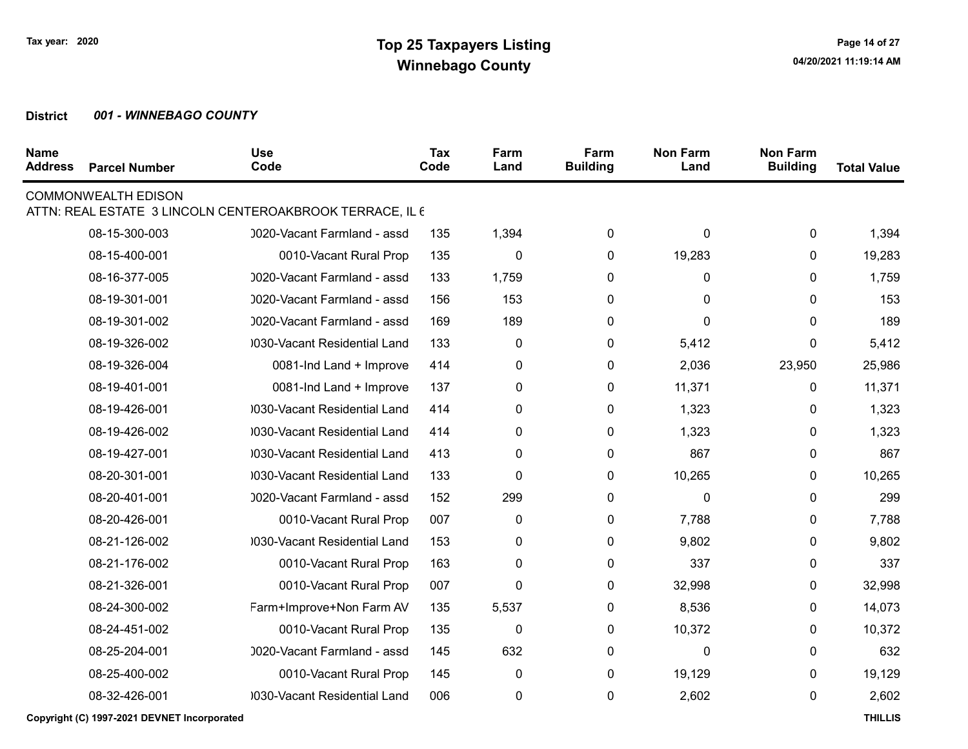| <b>Name</b><br><b>Address</b> | <b>Parcel Number</b>       | <b>Use</b><br>Code                                       | Tax<br>Code | Farm<br>Land | Farm<br><b>Building</b> | <b>Non Farm</b><br>Land | <b>Non Farm</b><br><b>Building</b> | <b>Total Value</b> |
|-------------------------------|----------------------------|----------------------------------------------------------|-------------|--------------|-------------------------|-------------------------|------------------------------------|--------------------|
|                               | <b>COMMONWEALTH EDISON</b> | ATTN: REAL ESTATE 3 LINCOLN CENTEROAKBROOK TERRACE, IL 6 |             |              |                         |                         |                                    |                    |
|                               | 08-15-300-003              | 0020-Vacant Farmland - assd                              | 135         | 1,394        | 0                       | 0                       | 0                                  | 1,394              |
|                               | 08-15-400-001              | 0010-Vacant Rural Prop                                   | 135         | $\pmb{0}$    | 0                       | 19,283                  | 0                                  | 19,283             |
|                               | 08-16-377-005              | 0020-Vacant Farmland - assd                              | 133         | 1,759        | 0                       | 0                       | 0                                  | 1,759              |
|                               | 08-19-301-001              | 0020-Vacant Farmland - assd                              | 156         | 153          | 0                       | 0                       | 0                                  | 153                |
|                               | 08-19-301-002              | 0020-Vacant Farmland - assd                              | 169         | 189          | 0                       | 0                       | 0                                  | 189                |
|                               | 08-19-326-002              | 0030-Vacant Residential Land                             | 133         | 0            | 0                       | 5,412                   | 0                                  | 5,412              |
|                               | 08-19-326-004              | 0081-Ind Land + Improve                                  | 414         | 0            | 0                       | 2,036                   | 23,950                             | 25,986             |
|                               | 08-19-401-001              | 0081-Ind Land + Improve                                  | 137         | 0            | 0                       | 11,371                  | 0                                  | 11,371             |
|                               | 08-19-426-001              | 0030-Vacant Residential Land                             | 414         | 0            | 0                       | 1,323                   | 0                                  | 1,323              |
|                               | 08-19-426-002              | 0030-Vacant Residential Land                             | 414         | 0            | 0                       | 1,323                   | 0                                  | 1,323              |
|                               | 08-19-427-001              | 0030-Vacant Residential Land                             | 413         | 0            | 0                       | 867                     | 0                                  | 867                |
|                               | 08-20-301-001              | 0030-Vacant Residential Land                             | 133         | $\pmb{0}$    | 0                       | 10,265                  | 0                                  | 10,265             |
|                               | 08-20-401-001              | 0020-Vacant Farmland - assd                              | 152         | 299          | 0                       | 0                       | 0                                  | 299                |
|                               | 08-20-426-001              | 0010-Vacant Rural Prop                                   | 007         | 0            | 0                       | 7,788                   | 0                                  | 7,788              |
|                               | 08-21-126-002              | 0030-Vacant Residential Land                             | 153         | 0            | 0                       | 9,802                   | 0                                  | 9,802              |
|                               | 08-21-176-002              | 0010-Vacant Rural Prop                                   | 163         | 0            | 0                       | 337                     | 0                                  | 337                |
|                               | 08-21-326-001              | 0010-Vacant Rural Prop                                   | 007         | 0            | 0                       | 32,998                  | 0                                  | 32,998             |
|                               | 08-24-300-002              | Farm+Improve+Non Farm AV                                 | 135         | 5,537        | 0                       | 8,536                   | 0                                  | 14,073             |
|                               | 08-24-451-002              | 0010-Vacant Rural Prop                                   | 135         | $\pmb{0}$    | 0                       | 10,372                  | 0                                  | 10,372             |
|                               | 08-25-204-001              | 0020-Vacant Farmland - assd                              | 145         | 632          | 0                       | 0                       | 0                                  | 632                |
|                               | 08-25-400-002              | 0010-Vacant Rural Prop                                   | 145         | 0            | 0                       | 19,129                  | 0                                  | 19,129             |
|                               | 08-32-426-001              | 0030-Vacant Residential Land                             | 006         | 0            | 0                       | 2,602                   | 0                                  | 2,602              |
|                               |                            |                                                          |             |              |                         |                         |                                    |                    |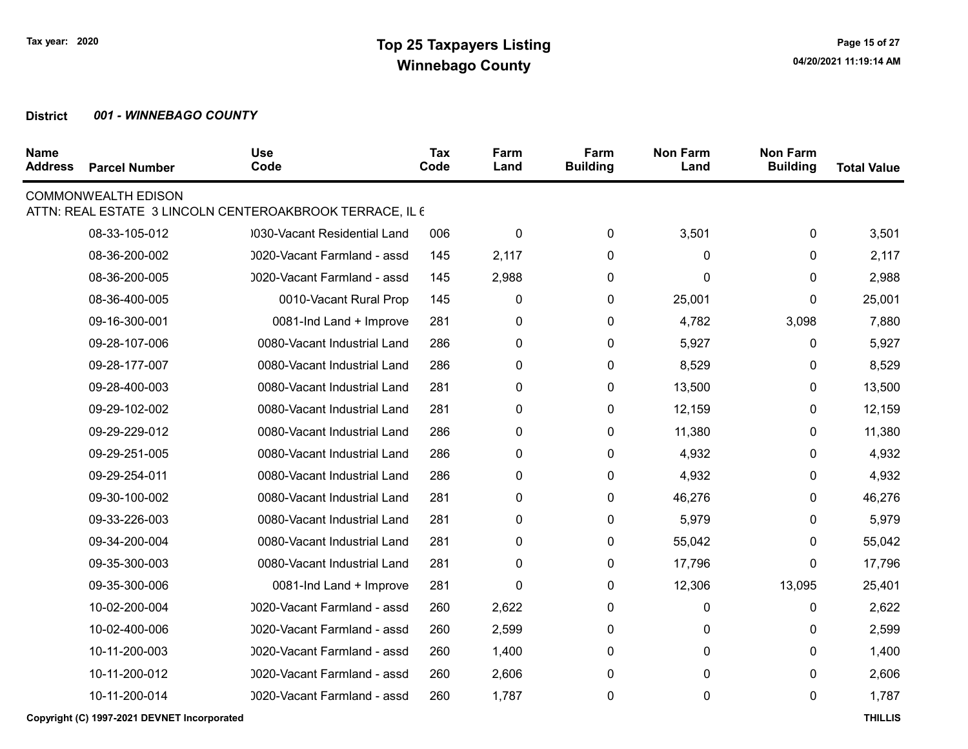| <b>Name</b><br><b>Address</b> | <b>Parcel Number</b>       | <b>Use</b><br>Code                                       | Tax<br>Code | Farm<br>Land | Farm<br><b>Building</b> | <b>Non Farm</b><br>Land | <b>Non Farm</b><br><b>Building</b> | <b>Total Value</b> |
|-------------------------------|----------------------------|----------------------------------------------------------|-------------|--------------|-------------------------|-------------------------|------------------------------------|--------------------|
|                               | <b>COMMONWEALTH EDISON</b> | ATTN: REAL ESTATE 3 LINCOLN CENTEROAKBROOK TERRACE, IL 6 |             |              |                         |                         |                                    |                    |
|                               | 08-33-105-012              | 0030-Vacant Residential Land                             | 006         | $\pmb{0}$    | 0                       | 3,501                   | $\mathbf 0$                        | 3,501              |
|                               | 08-36-200-002              | 0020-Vacant Farmland - assd                              | 145         | 2,117        | 0                       | $\mathbf{0}$            | 0                                  | 2,117              |
|                               | 08-36-200-005              | 0020-Vacant Farmland - assd                              | 145         | 2,988        | 0                       | 0                       | 0                                  | 2,988              |
|                               | 08-36-400-005              | 0010-Vacant Rural Prop                                   | 145         | 0            | 0                       | 25,001                  | 0                                  | 25,001             |
|                               | 09-16-300-001              | 0081-Ind Land + Improve                                  | 281         | 0            | 0                       | 4,782                   | 3,098                              | 7,880              |
|                               | 09-28-107-006              | 0080-Vacant Industrial Land                              | 286         | 0            | 0                       | 5,927                   | 0                                  | 5,927              |
|                               | 09-28-177-007              | 0080-Vacant Industrial Land                              | 286         | 0            | 0                       | 8,529                   | 0                                  | 8,529              |
|                               | 09-28-400-003              | 0080-Vacant Industrial Land                              | 281         | 0            | 0                       | 13,500                  | 0                                  | 13,500             |
|                               | 09-29-102-002              | 0080-Vacant Industrial Land                              | 281         | 0            | 0                       | 12,159                  | 0                                  | 12,159             |
|                               | 09-29-229-012              | 0080-Vacant Industrial Land                              | 286         | 0            | 0                       | 11,380                  | 0                                  | 11,380             |
|                               | 09-29-251-005              | 0080-Vacant Industrial Land                              | 286         | 0            | 0                       | 4,932                   | 0                                  | 4,932              |
|                               | 09-29-254-011              | 0080-Vacant Industrial Land                              | 286         | $\pmb{0}$    | $\pmb{0}$               | 4,932                   | 0                                  | 4,932              |
|                               | 09-30-100-002              | 0080-Vacant Industrial Land                              | 281         | $\pmb{0}$    | 0                       | 46,276                  | 0                                  | 46,276             |
|                               | 09-33-226-003              | 0080-Vacant Industrial Land                              | 281         | $\pmb{0}$    | 0                       | 5,979                   | 0                                  | 5,979              |
|                               | 09-34-200-004              | 0080-Vacant Industrial Land                              | 281         | 0            | 0                       | 55,042                  | 0                                  | 55,042             |
|                               | 09-35-300-003              | 0080-Vacant Industrial Land                              | 281         | $\pmb{0}$    | 0                       | 17,796                  | 0                                  | 17,796             |
|                               | 09-35-300-006              | 0081-Ind Land + Improve                                  | 281         | $\mathbf{0}$ | 0                       | 12,306                  | 13,095                             | 25,401             |
|                               | 10-02-200-004              | 0020-Vacant Farmland - assd                              | 260         | 2,622        | 0                       | 0                       | 0                                  | 2,622              |
|                               | 10-02-400-006              | 0020-Vacant Farmland - assd                              | 260         | 2,599        | $\mathbf{0}$            | 0                       | 0                                  | 2,599              |
|                               | 10-11-200-003              | 0020-Vacant Farmland - assd                              | 260         | 1,400        | 0                       | 0                       | 0                                  | 1,400              |
|                               | 10-11-200-012              | 0020-Vacant Farmland - assd                              | 260         | 2,606        | 0                       | 0                       | 0                                  | 2,606              |
|                               | 10-11-200-014              | 0020-Vacant Farmland - assd                              | 260         | 1,787        | 0                       | 0                       | 0                                  | 1,787              |
|                               |                            |                                                          |             |              |                         |                         |                                    |                    |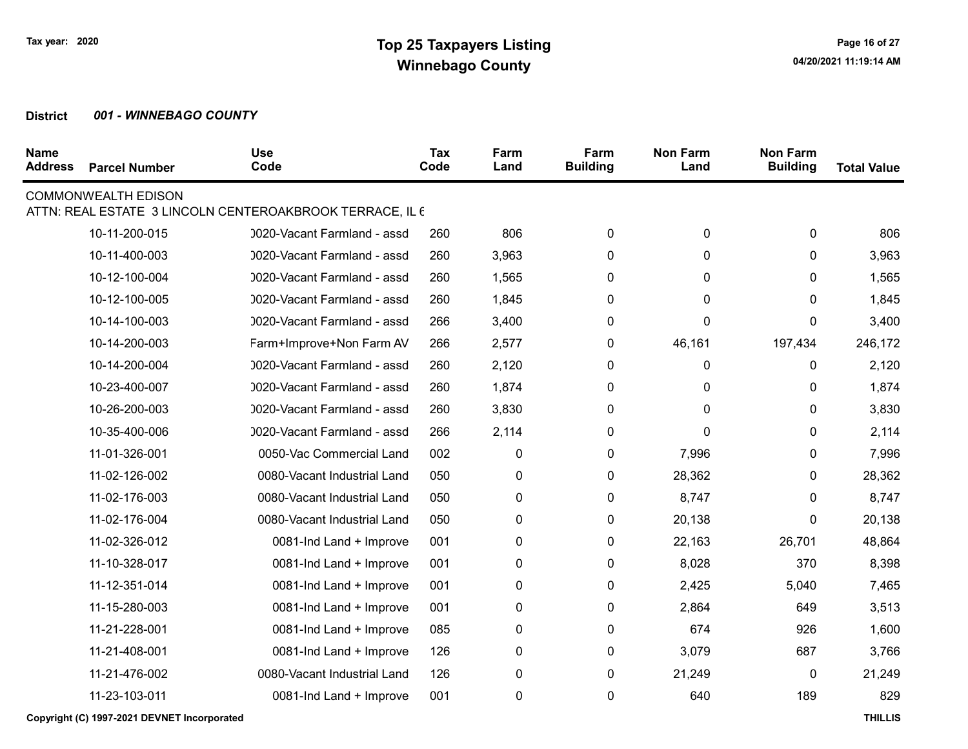| <b>Name</b><br><b>Address</b> | <b>Parcel Number</b>       | <b>Use</b><br>Code                                       | <b>Tax</b><br>Code | Farm<br>Land | Farm<br><b>Building</b> | <b>Non Farm</b><br>Land | <b>Non Farm</b><br><b>Building</b> | <b>Total Value</b> |
|-------------------------------|----------------------------|----------------------------------------------------------|--------------------|--------------|-------------------------|-------------------------|------------------------------------|--------------------|
|                               | <b>COMMONWEALTH EDISON</b> | ATTN: REAL ESTATE 3 LINCOLN CENTEROAKBROOK TERRACE, IL 6 |                    |              |                         |                         |                                    |                    |
|                               | 10-11-200-015              | 0020-Vacant Farmland - assd                              | 260                | 806          | 0                       | 0                       | $\mathbf 0$                        | 806                |
|                               | 10-11-400-003              | 0020-Vacant Farmland - assd                              | 260                | 3,963        | 0                       | 0                       | 0                                  | 3,963              |
|                               | 10-12-100-004              | 0020-Vacant Farmland - assd                              | 260                | 1,565        | 0                       | 0                       | 0                                  | 1,565              |
|                               | 10-12-100-005              | 0020-Vacant Farmland - assd                              | 260                | 1,845        | 0                       | 0                       | 0                                  | 1,845              |
|                               | 10-14-100-003              | 0020-Vacant Farmland - assd                              | 266                | 3,400        | 0                       | 0                       | 0                                  | 3,400              |
|                               | 10-14-200-003              | Farm+Improve+Non Farm AV                                 | 266                | 2,577        | 0                       | 46,161                  | 197,434                            | 246,172            |
|                               | 10-14-200-004              | 0020-Vacant Farmland - assd                              | 260                | 2,120        | 0                       | 0                       | 0                                  | 2,120              |
|                               | 10-23-400-007              | 0020-Vacant Farmland - assd                              | 260                | 1,874        | 0                       | 0                       | 0                                  | 1,874              |
|                               | 10-26-200-003              | 0020-Vacant Farmland - assd                              | 260                | 3,830        | $\mathbf{0}$            | 0                       | 0                                  | 3,830              |
|                               | 10-35-400-006              | 0020-Vacant Farmland - assd                              | 266                | 2,114        | 0                       | 0                       | 0                                  | 2,114              |
|                               | 11-01-326-001              | 0050-Vac Commercial Land                                 | 002                | 0            | 0                       | 7,996                   | 0                                  | 7,996              |
|                               | 11-02-126-002              | 0080-Vacant Industrial Land                              | 050                | $\pmb{0}$    | 0                       | 28,362                  | 0                                  | 28,362             |
|                               | 11-02-176-003              | 0080-Vacant Industrial Land                              | 050                | $\pmb{0}$    | 0                       | 8,747                   | 0                                  | 8,747              |
|                               | 11-02-176-004              | 0080-Vacant Industrial Land                              | 050                | $\pmb{0}$    | 0                       | 20,138                  | 0                                  | 20,138             |
|                               | 11-02-326-012              | 0081-Ind Land + Improve                                  | 001                | 0            | 0                       | 22,163                  | 26,701                             | 48,864             |
|                               | 11-10-328-017              | 0081-Ind Land + Improve                                  | 001                | $\pmb{0}$    | 0                       | 8,028                   | 370                                | 8,398              |
|                               | 11-12-351-014              | 0081-Ind Land + Improve                                  | 001                | 0            | 0                       | 2,425                   | 5,040                              | 7,465              |
|                               | 11-15-280-003              | 0081-Ind Land + Improve                                  | 001                | 0            | 0                       | 2,864                   | 649                                | 3,513              |
|                               | 11-21-228-001              | 0081-Ind Land + Improve                                  | 085                | 0            | 0                       | 674                     | 926                                | 1,600              |
|                               | 11-21-408-001              | 0081-Ind Land + Improve                                  | 126                | 0            | 0                       | 3,079                   | 687                                | 3,766              |
|                               | 11-21-476-002              | 0080-Vacant Industrial Land                              | 126                | 0            | 0                       | 21,249                  | 0                                  | 21,249             |
|                               | 11-23-103-011              | 0081-Ind Land + Improve                                  | 001                | $\pmb{0}$    | $\mathbf 0$             | 640                     | 189                                | 829                |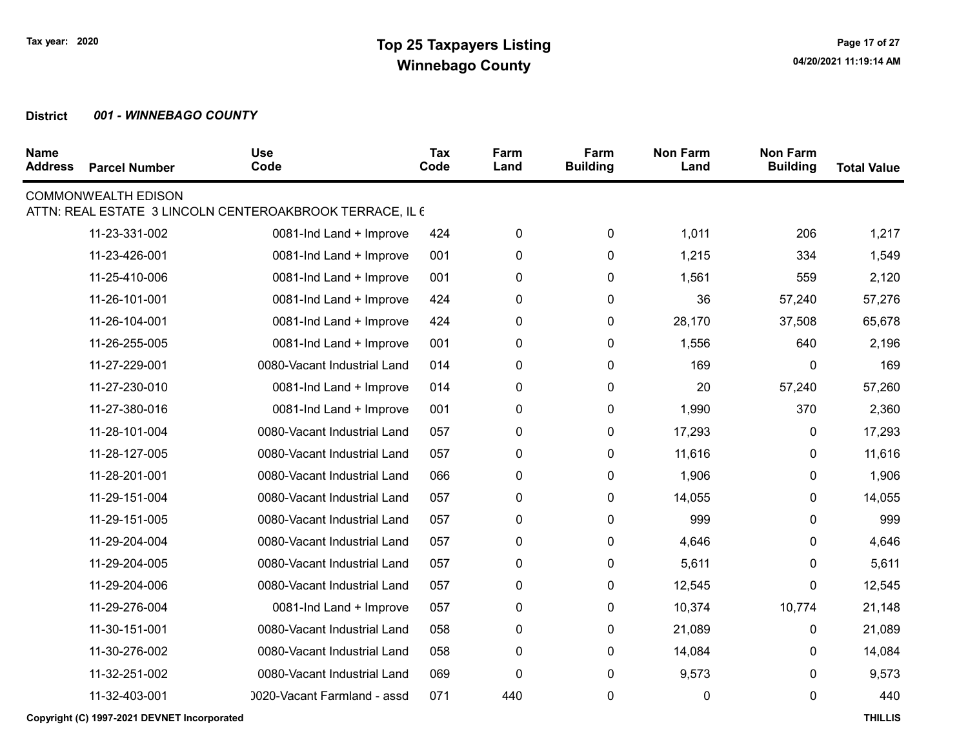| <b>Name</b><br><b>Address</b> | <b>Parcel Number</b>       | <b>Use</b><br>Code                                       | Tax<br>Code | Farm<br>Land | Farm<br><b>Building</b> | <b>Non Farm</b><br>Land | <b>Non Farm</b><br><b>Building</b> | <b>Total Value</b> |
|-------------------------------|----------------------------|----------------------------------------------------------|-------------|--------------|-------------------------|-------------------------|------------------------------------|--------------------|
|                               | <b>COMMONWEALTH EDISON</b> | ATTN: REAL ESTATE 3 LINCOLN CENTEROAKBROOK TERRACE, IL 6 |             |              |                         |                         |                                    |                    |
|                               | 11-23-331-002              | 0081-Ind Land + Improve                                  | 424         | $\pmb{0}$    | $\pmb{0}$               | 1,011                   | 206                                | 1,217              |
|                               | 11-23-426-001              | 0081-Ind Land + Improve                                  | 001         | $\mathbf 0$  | 0                       | 1,215                   | 334                                | 1,549              |
|                               | 11-25-410-006              | 0081-Ind Land + Improve                                  | 001         | $\pmb{0}$    | 0                       | 1,561                   | 559                                | 2,120              |
|                               | 11-26-101-001              | 0081-Ind Land + Improve                                  | 424         | 0            | 0                       | 36                      | 57,240                             | 57,276             |
|                               | 11-26-104-001              | 0081-Ind Land + Improve                                  | 424         | $\pmb{0}$    | 0                       | 28,170                  | 37,508                             | 65,678             |
|                               | 11-26-255-005              | 0081-Ind Land + Improve                                  | 001         | 0            | 0                       | 1,556                   | 640                                | 2,196              |
|                               | 11-27-229-001              | 0080-Vacant Industrial Land                              | 014         | 0            | 0                       | 169                     | 0                                  | 169                |
|                               | 11-27-230-010              | 0081-Ind Land + Improve                                  | 014         | 0            | 0                       | 20                      | 57,240                             | 57,260             |
|                               | 11-27-380-016              | 0081-Ind Land + Improve                                  | 001         | 0            | 0                       | 1,990                   | 370                                | 2,360              |
|                               | 11-28-101-004              | 0080-Vacant Industrial Land                              | 057         | 0            | 0                       | 17,293                  | 0                                  | 17,293             |
|                               | 11-28-127-005              | 0080-Vacant Industrial Land                              | 057         | $\pmb{0}$    | 0                       | 11,616                  | 0                                  | 11,616             |
|                               | 11-28-201-001              | 0080-Vacant Industrial Land                              | 066         | $\pmb{0}$    | $\pmb{0}$               | 1,906                   | 0                                  | 1,906              |
|                               | 11-29-151-004              | 0080-Vacant Industrial Land                              | 057         | $\pmb{0}$    | $\pmb{0}$               | 14,055                  | 0                                  | 14,055             |
|                               | 11-29-151-005              | 0080-Vacant Industrial Land                              | 057         | $\pmb{0}$    | $\pmb{0}$               | 999                     | 0                                  | 999                |
|                               | 11-29-204-004              | 0080-Vacant Industrial Land                              | 057         | 0            | 0                       | 4,646                   | 0                                  | 4,646              |
|                               | 11-29-204-005              | 0080-Vacant Industrial Land                              | 057         | $\pmb{0}$    | $\pmb{0}$               | 5,611                   | 0                                  | 5,611              |
|                               | 11-29-204-006              | 0080-Vacant Industrial Land                              | 057         | 0            | 0                       | 12,545                  | 0                                  | 12,545             |
|                               | 11-29-276-004              | 0081-Ind Land + Improve                                  | 057         | $\pmb{0}$    | 0                       | 10,374                  | 10,774                             | 21,148             |
|                               | 11-30-151-001              | 0080-Vacant Industrial Land                              | 058         | 0            | 0                       | 21,089                  | 0                                  | 21,089             |
|                               | 11-30-276-002              | 0080-Vacant Industrial Land                              | 058         | $\pmb{0}$    | 0                       | 14,084                  | 0                                  | 14,084             |
|                               | 11-32-251-002              | 0080-Vacant Industrial Land                              | 069         | $\mathbf 0$  | 0                       | 9,573                   | 0                                  | 9,573              |
|                               | 11-32-403-001              | 0020-Vacant Farmland - assd                              | 071         | 440          | 0                       | 0                       | 0                                  | 440                |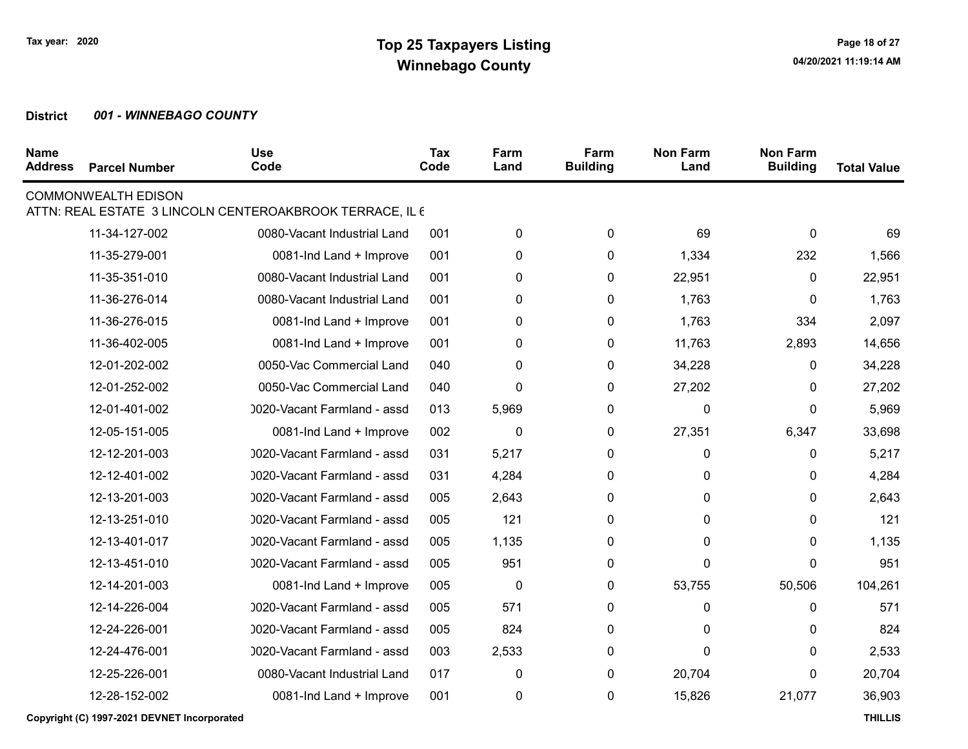| <b>Name</b><br><b>Address</b> | <b>Parcel Number</b>       | <b>Use</b><br>Code                                       | Tax<br>Code | Farm<br>Land | Farm<br><b>Building</b> | <b>Non Farm</b><br>Land | <b>Non Farm</b><br><b>Building</b> | <b>Total Value</b> |
|-------------------------------|----------------------------|----------------------------------------------------------|-------------|--------------|-------------------------|-------------------------|------------------------------------|--------------------|
|                               | <b>COMMONWEALTH EDISON</b> | ATTN: REAL ESTATE 3 LINCOLN CENTEROAKBROOK TERRACE, IL 6 |             |              |                         |                         |                                    |                    |
|                               | 11-34-127-002              | 0080-Vacant Industrial Land                              | 001         | $\pmb{0}$    | 0                       | 69                      | 0                                  | 69                 |
|                               |                            |                                                          |             |              |                         |                         |                                    |                    |
|                               | 11-35-279-001              | 0081-Ind Land + Improve                                  | 001         | $\pmb{0}$    | 0                       | 1,334                   | 232                                | 1,566              |
|                               | 11-35-351-010              | 0080-Vacant Industrial Land                              | 001         | $\pmb{0}$    | 0                       | 22,951                  | 0                                  | 22,951             |
|                               | 11-36-276-014              | 0080-Vacant Industrial Land                              | 001         | 0            | 0                       | 1,763                   | 0                                  | 1,763              |
|                               | 11-36-276-015              | 0081-Ind Land + Improve                                  | 001         | 0            | 0                       | 1,763                   | 334                                | 2,097              |
|                               | 11-36-402-005              | 0081-Ind Land + Improve                                  | 001         | 0            | 0                       | 11,763                  | 2,893                              | 14,656             |
|                               | 12-01-202-002              | 0050-Vac Commercial Land                                 | 040         | $\pmb{0}$    | 0                       | 34,228                  | 0                                  | 34,228             |
|                               | 12-01-252-002              | 0050-Vac Commercial Land                                 | 040         | $\pmb{0}$    | 0                       | 27,202                  | 0                                  | 27,202             |
|                               | 12-01-401-002              | 0020-Vacant Farmland - assd                              | 013         | 5,969        | 0                       | 0                       | $\mathbf{0}$                       | 5,969              |
|                               | 12-05-151-005              | 0081-Ind Land + Improve                                  | 002         | $\pmb{0}$    | 0                       | 27,351                  | 6,347                              | 33,698             |
|                               | 12-12-201-003              | 0020-Vacant Farmland - assd                              | 031         | 5,217        | 0                       | 0                       | 0                                  | 5,217              |
|                               | 12-12-401-002              | 0020-Vacant Farmland - assd                              | 031         | 4,284        | 0                       | 0                       | 0                                  | 4,284              |
|                               | 12-13-201-003              | 0020-Vacant Farmland - assd                              | 005         | 2,643        | 0                       | 0                       | 0                                  | 2,643              |
|                               | 12-13-251-010              | 0020-Vacant Farmland - assd                              | 005         | 121          | 0                       | 0                       | 0                                  | 121                |
|                               | 12-13-401-017              | 0020-Vacant Farmland - assd                              | 005         | 1,135        | 0                       | 0                       | 0                                  | 1,135              |
|                               | 12-13-451-010              | 0020-Vacant Farmland - assd                              | 005         | 951          | 0                       | 0                       | 0                                  | 951                |
|                               | 12-14-201-003              | 0081-Ind Land + Improve                                  | 005         | 0            | 0                       | 53,755                  | 50,506                             | 104,261            |
|                               | 12-14-226-004              | 0020-Vacant Farmland - assd                              | 005         | 571          | 0                       | 0                       | 0                                  | 571                |
|                               | 12-24-226-001              | 0020-Vacant Farmland - assd                              | 005         | 824          | 0                       | 0                       | 0                                  | 824                |
|                               | 12-24-476-001              | 0020-Vacant Farmland - assd                              | 003         | 2,533        | 0                       | 0                       | 0                                  | 2,533              |
|                               | 12-25-226-001              | 0080-Vacant Industrial Land                              | 017         | $\pmb{0}$    | 0                       | 20,704                  | 0                                  | 20,704             |
|                               | 12-28-152-002              | 0081-Ind Land + Improve                                  | 001         | $\pmb{0}$    | 0                       | 15,826                  | 21,077                             | 36,903             |

Copyright (C) 1997-2021 DEVNET Incorporated THILLIS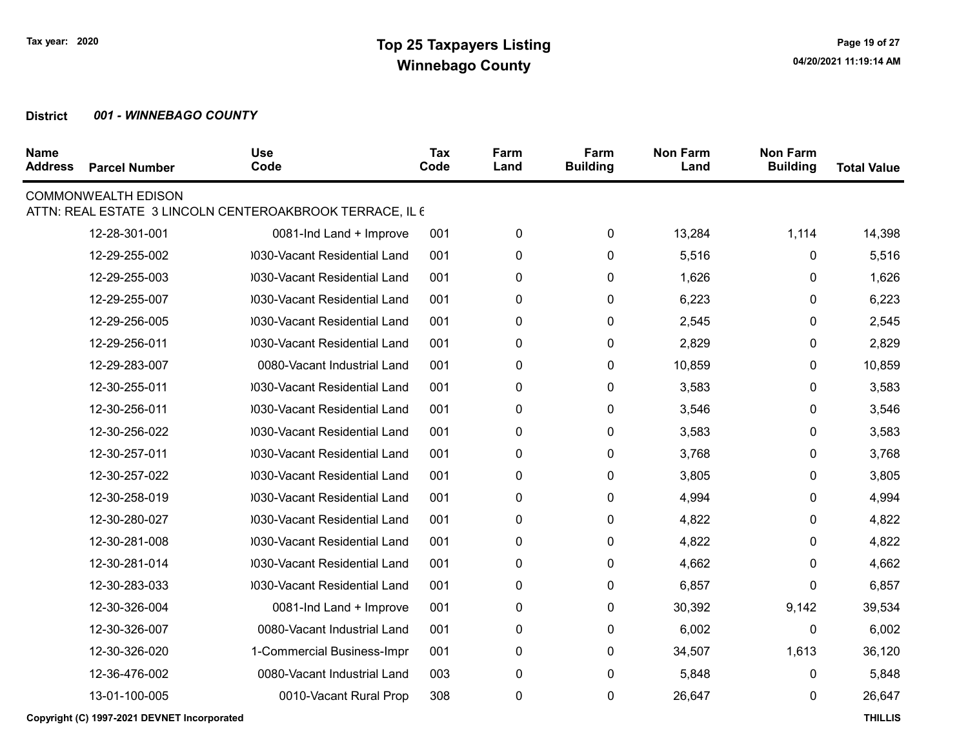| <b>Name</b><br><b>Address</b> | <b>Parcel Number</b>                        | <b>Use</b><br>Code                                       | Tax<br>Code | Farm<br>Land | Farm<br><b>Building</b> | <b>Non Farm</b><br>Land | <b>Non Farm</b><br><b>Building</b> | <b>Total Value</b> |
|-------------------------------|---------------------------------------------|----------------------------------------------------------|-------------|--------------|-------------------------|-------------------------|------------------------------------|--------------------|
|                               | <b>COMMONWEALTH EDISON</b>                  | ATTN: REAL ESTATE 3 LINCOLN CENTEROAKBROOK TERRACE, IL 6 |             |              |                         |                         |                                    |                    |
|                               |                                             |                                                          |             |              |                         |                         |                                    |                    |
|                               | 12-28-301-001                               | 0081-Ind Land + Improve                                  | 001         | 0            | 0                       | 13,284                  | 1,114                              | 14,398             |
|                               | 12-29-255-002                               | 0030-Vacant Residential Land                             | 001         | 0            | 0                       | 5,516                   | 0                                  | 5,516              |
|                               | 12-29-255-003                               | 030-Vacant Residential Land                              | 001         | 0            | $\mathbf{0}$            | 1,626                   | 0                                  | 1,626              |
|                               | 12-29-255-007                               | 0030-Vacant Residential Land                             | 001         | 0            | 0                       | 6,223                   | 0                                  | 6,223              |
|                               | 12-29-256-005                               | 0030-Vacant Residential Land                             | 001         | 0            | 0                       | 2,545                   | 0                                  | 2,545              |
|                               | 12-29-256-011                               | 0030-Vacant Residential Land                             | 001         | 0            | 0                       | 2,829                   | 0                                  | 2,829              |
|                               | 12-29-283-007                               | 0080-Vacant Industrial Land                              | 001         | 0            | 0                       | 10,859                  | 0                                  | 10,859             |
|                               | 12-30-255-011                               | 0030-Vacant Residential Land                             | 001         | 0            | 0                       | 3,583                   | 0                                  | 3,583              |
|                               | 12-30-256-011                               | 0030-Vacant Residential Land                             | 001         | 0            | 0                       | 3,546                   | 0                                  | 3,546              |
|                               | 12-30-256-022                               | 0030-Vacant Residential Land                             | 001         | 0            | 0                       | 3,583                   | 0                                  | 3,583              |
|                               | 12-30-257-011                               | 0030-Vacant Residential Land                             | 001         | 0            | 0                       | 3,768                   | 0                                  | 3,768              |
|                               | 12-30-257-022                               | 030-Vacant Residential Land                              | 001         | 0            | 0                       | 3,805                   | 0                                  | 3,805              |
|                               | 12-30-258-019                               | 0030-Vacant Residential Land                             | 001         | 0            | 0                       | 4,994                   | 0                                  | 4,994              |
|                               | 12-30-280-027                               | 0030-Vacant Residential Land                             | 001         | 0            | $\mathbf{0}$            | 4,822                   | 0                                  | 4,822              |
|                               | 12-30-281-008                               | 0030-Vacant Residential Land                             | 001         | 0            | 0                       | 4,822                   | 0                                  | 4,822              |
|                               | 12-30-281-014                               | 0030-Vacant Residential Land                             | 001         | 0            | 0                       | 4,662                   | 0                                  | 4,662              |
|                               | 12-30-283-033                               | 0030-Vacant Residential Land                             | 001         | 0            | 0                       | 6,857                   | 0                                  | 6,857              |
|                               | 12-30-326-004                               | 0081-Ind Land + Improve                                  | 001         | $\pmb{0}$    | 0                       | 30,392                  | 9,142                              | 39,534             |
|                               | 12-30-326-007                               | 0080-Vacant Industrial Land                              | 001         | $\pmb{0}$    | 0                       | 6,002                   | 0                                  | 6,002              |
|                               | 12-30-326-020                               | 1-Commercial Business-Impr                               | 001         | 0            | 0                       | 34,507                  | 1,613                              | 36,120             |
|                               | 12-36-476-002                               | 0080-Vacant Industrial Land                              | 003         | 0            | 0                       | 5,848                   | 0                                  | 5,848              |
|                               | 13-01-100-005                               | 0010-Vacant Rural Prop                                   | 308         | 0            | 0                       | 26,647                  | 0                                  | 26,647             |
|                               | Copyright (C) 1997-2021 DEVNET Incorporated |                                                          |             |              |                         |                         |                                    | <b>THILLIS</b>     |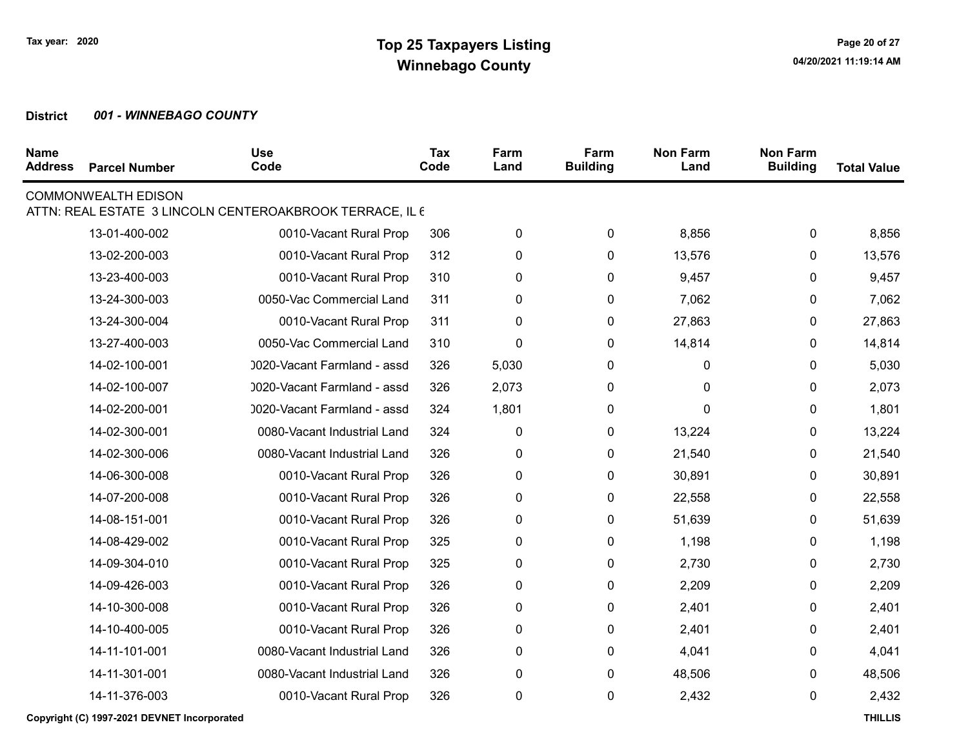| <b>Name</b><br><b>Address</b> | <b>Parcel Number</b>                        | <b>Use</b><br>Code                                       | Tax<br>Code | Farm<br>Land | Farm<br><b>Building</b> | <b>Non Farm</b><br>Land | <b>Non Farm</b><br><b>Building</b> | <b>Total Value</b> |
|-------------------------------|---------------------------------------------|----------------------------------------------------------|-------------|--------------|-------------------------|-------------------------|------------------------------------|--------------------|
|                               | <b>COMMONWEALTH EDISON</b>                  | ATTN: REAL ESTATE 3 LINCOLN CENTEROAKBROOK TERRACE, IL 6 |             |              |                         |                         |                                    |                    |
|                               | 13-01-400-002                               | 0010-Vacant Rural Prop                                   | 306         | 0            | 0                       | 8,856                   | 0                                  | 8,856              |
|                               | 13-02-200-003                               | 0010-Vacant Rural Prop                                   | 312         | 0            | 0                       | 13,576                  | 0                                  | 13,576             |
|                               | 13-23-400-003                               | 0010-Vacant Rural Prop                                   | 310         | 0            | 0                       | 9,457                   | 0                                  | 9,457              |
|                               | 13-24-300-003                               | 0050-Vac Commercial Land                                 | 311         | 0            | 0                       | 7,062                   | 0                                  | 7,062              |
|                               | 13-24-300-004                               | 0010-Vacant Rural Prop                                   | 311         | 0            | 0                       | 27,863                  | 0                                  | 27,863             |
|                               | 13-27-400-003                               | 0050-Vac Commercial Land                                 | 310         | 0            | 0                       | 14,814                  | 0                                  | 14,814             |
|                               | 14-02-100-001                               | 0020-Vacant Farmland - assd                              | 326         | 5,030        | 0                       | 0                       | 0                                  | 5,030              |
|                               | 14-02-100-007                               | 0020-Vacant Farmland - assd                              | 326         | 2,073        | 0                       | 0                       | 0                                  | 2,073              |
|                               | 14-02-200-001                               | 0020-Vacant Farmland - assd                              | 324         | 1,801        | 0                       | 0                       | 0                                  | 1,801              |
|                               | 14-02-300-001                               | 0080-Vacant Industrial Land                              | 324         | $\pmb{0}$    | 0                       | 13,224                  | 0                                  | 13,224             |
|                               | 14-02-300-006                               | 0080-Vacant Industrial Land                              | 326         | 0            | 0                       | 21,540                  | 0                                  | 21,540             |
|                               | 14-06-300-008                               | 0010-Vacant Rural Prop                                   | 326         | 0            | 0                       | 30,891                  | 0                                  | 30,891             |
|                               | 14-07-200-008                               | 0010-Vacant Rural Prop                                   | 326         | 0            | 0                       | 22,558                  | 0                                  | 22,558             |
|                               | 14-08-151-001                               | 0010-Vacant Rural Prop                                   | 326         | 0            | 0                       | 51,639                  | 0                                  | 51,639             |
|                               | 14-08-429-002                               | 0010-Vacant Rural Prop                                   | 325         | 0            | 0                       | 1,198                   | 0                                  | 1,198              |
|                               | 14-09-304-010                               | 0010-Vacant Rural Prop                                   | 325         | 0            | 0                       | 2,730                   | 0                                  | 2,730              |
|                               | 14-09-426-003                               | 0010-Vacant Rural Prop                                   | 326         | 0            | $\pmb{0}$               | 2,209                   | 0                                  | 2,209              |
|                               | 14-10-300-008                               | 0010-Vacant Rural Prop                                   | 326         | 0            | 0                       | 2,401                   | 0                                  | 2,401              |
|                               | 14-10-400-005                               | 0010-Vacant Rural Prop                                   | 326         | 0            | 0                       | 2,401                   | 0                                  | 2,401              |
|                               | 14-11-101-001                               | 0080-Vacant Industrial Land                              | 326         | 0            | 0                       | 4,041                   | 0                                  | 4,041              |
|                               | 14-11-301-001                               | 0080-Vacant Industrial Land                              | 326         | 0            | 0                       | 48,506                  | 0                                  | 48,506             |
|                               | 14-11-376-003                               | 0010-Vacant Rural Prop                                   | 326         | 0            | 0                       | 2,432                   | 0                                  | 2,432              |
|                               | Copyright (C) 1997-2021 DEVNET Incorporated |                                                          |             |              |                         |                         |                                    | <b>THILLIS</b>     |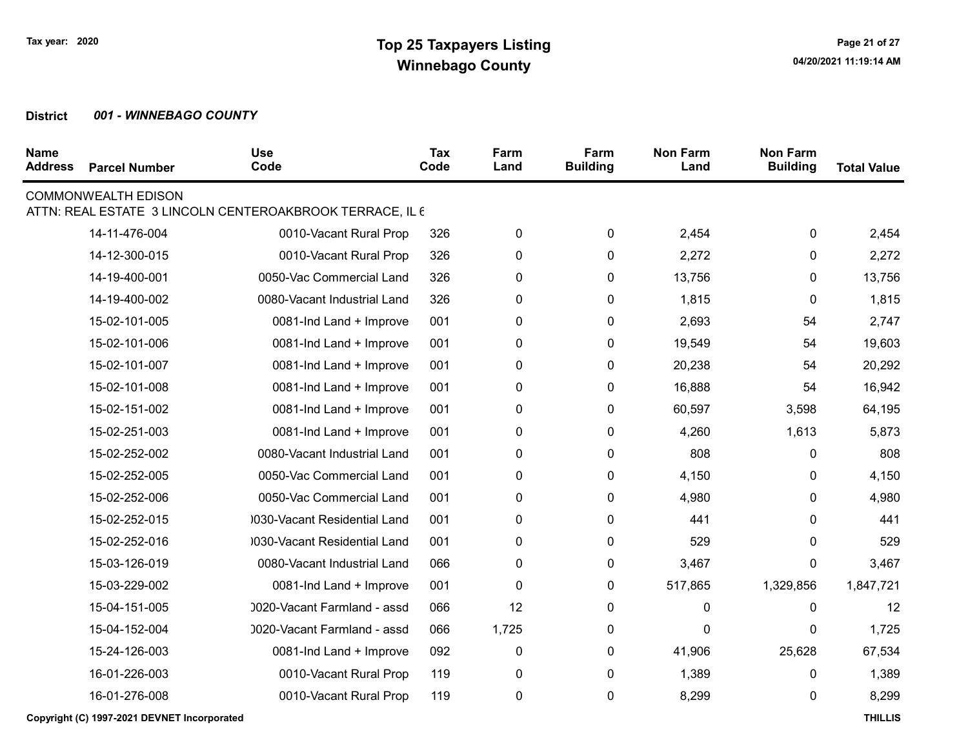| <b>Name</b><br><b>Address</b> | <b>Parcel Number</b>       | <b>Use</b><br>Code                                       | Tax<br>Code | Farm<br>Land | Farm<br><b>Building</b> | <b>Non Farm</b><br>Land | <b>Non Farm</b><br><b>Building</b> | <b>Total Value</b> |
|-------------------------------|----------------------------|----------------------------------------------------------|-------------|--------------|-------------------------|-------------------------|------------------------------------|--------------------|
|                               | <b>COMMONWEALTH EDISON</b> | ATTN: REAL ESTATE 3 LINCOLN CENTEROAKBROOK TERRACE, IL 6 |             |              |                         |                         |                                    |                    |
|                               | 14-11-476-004              | 0010-Vacant Rural Prop                                   | 326         | 0            | $\pmb{0}$               | 2,454                   | 0                                  | 2,454              |
|                               | 14-12-300-015              | 0010-Vacant Rural Prop                                   | 326         | 0            | 0                       | 2,272                   | 0                                  | 2,272              |
|                               | 14-19-400-001              | 0050-Vac Commercial Land                                 | 326         | $\pmb{0}$    | 0                       | 13,756                  | 0                                  | 13,756             |
|                               | 14-19-400-002              | 0080-Vacant Industrial Land                              | 326         | 0            | 0                       | 1,815                   | 0                                  | 1,815              |
|                               | 15-02-101-005              | 0081-Ind Land + Improve                                  | 001         | $\pmb{0}$    | 0                       | 2,693                   | 54                                 | 2,747              |
|                               | 15-02-101-006              | 0081-Ind Land + Improve                                  | 001         | 0            | 0                       | 19,549                  | 54                                 | 19,603             |
|                               | 15-02-101-007              | 0081-Ind Land + Improve                                  | 001         | 0            | 0                       | 20,238                  | 54                                 | 20,292             |
|                               | 15-02-101-008              | 0081-Ind Land + Improve                                  | 001         | 0            | 0                       | 16,888                  | 54                                 | 16,942             |
|                               | 15-02-151-002              | 0081-Ind Land + Improve                                  | 001         | 0            | 0                       | 60,597                  | 3,598                              | 64,195             |
|                               | 15-02-251-003              | 0081-Ind Land + Improve                                  | 001         | 0            | 0                       | 4,260                   | 1,613                              | 5,873              |
|                               | 15-02-252-002              | 0080-Vacant Industrial Land                              | 001         | $\pmb{0}$    | 0                       | 808                     | 0                                  | 808                |
|                               | 15-02-252-005              | 0050-Vac Commercial Land                                 | 001         | $\pmb{0}$    | $\pmb{0}$               | 4,150                   | 0                                  | 4,150              |
|                               | 15-02-252-006              | 0050-Vac Commercial Land                                 | 001         | $\pmb{0}$    | $\pmb{0}$               | 4,980                   | 0                                  | 4,980              |
|                               | 15-02-252-015              | 0030-Vacant Residential Land                             | 001         | 0            | 0                       | 441                     | 0                                  | 441                |
|                               | 15-02-252-016              | 0030-Vacant Residential Land                             | 001         | 0            | 0                       | 529                     | 0                                  | 529                |
|                               | 15-03-126-019              | 0080-Vacant Industrial Land                              | 066         | $\pmb{0}$    | $\pmb{0}$               | 3,467                   | 0                                  | 3,467              |
|                               | 15-03-229-002              | 0081-Ind Land + Improve                                  | 001         | 0            | 0                       | 517,865                 | 1,329,856                          | 1,847,721          |
|                               | 15-04-151-005              | 0020-Vacant Farmland - assd                              | 066         | 12           | 0                       | 0                       | 0                                  | 12                 |
|                               | 15-04-152-004              | 0020-Vacant Farmland - assd                              | 066         | 1,725        | 0                       | 0                       | 0                                  | 1,725              |
|                               | 15-24-126-003              | 0081-Ind Land + Improve                                  | 092         | $\pmb{0}$    | 0                       | 41,906                  | 25,628                             | 67,534             |
|                               | 16-01-226-003              | 0010-Vacant Rural Prop                                   | 119         | 0            | 0                       | 1,389                   | 0                                  | 1,389              |
|                               | 16-01-276-008              | 0010-Vacant Rural Prop                                   | 119         | $\pmb{0}$    | 0                       | 8,299                   | 0                                  | 8,299              |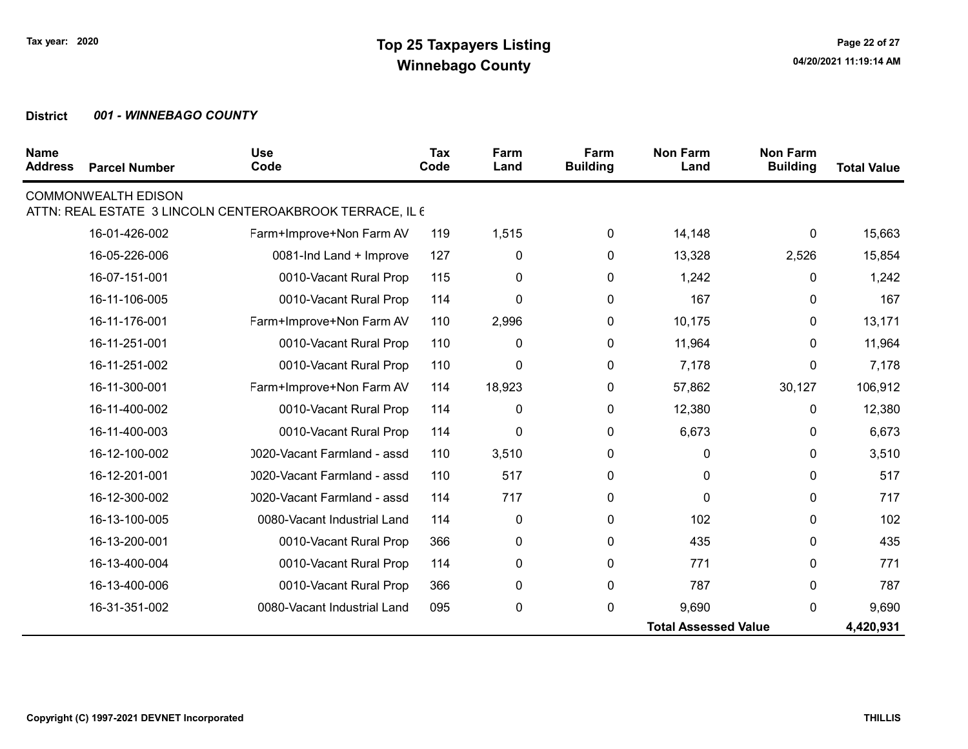| <b>Name</b><br><b>Address</b> | <b>Parcel Number</b>       | <b>Use</b><br>Code                                       | <b>Tax</b><br>Code | Farm<br>Land | Farm<br><b>Building</b> | <b>Non Farm</b><br>Land     | <b>Non Farm</b><br><b>Building</b> | <b>Total Value</b> |
|-------------------------------|----------------------------|----------------------------------------------------------|--------------------|--------------|-------------------------|-----------------------------|------------------------------------|--------------------|
|                               | <b>COMMONWEALTH EDISON</b> |                                                          |                    |              |                         |                             |                                    |                    |
|                               |                            | ATTN: REAL ESTATE 3 LINCOLN CENTEROAKBROOK TERRACE, IL 6 |                    |              |                         |                             |                                    |                    |
|                               | 16-01-426-002              | Farm+Improve+Non Farm AV                                 | 119                | 1,515        | 0                       | 14,148                      | $\mathbf{0}$                       | 15,663             |
|                               | 16-05-226-006              | 0081-Ind Land + Improve                                  | 127                | 0            | 0                       | 13,328                      | 2,526                              | 15,854             |
|                               | 16-07-151-001              | 0010-Vacant Rural Prop                                   | 115                | 0            | 0                       | 1,242                       | 0                                  | 1,242              |
|                               | 16-11-106-005              | 0010-Vacant Rural Prop                                   | 114                | 0            | 0                       | 167                         | 0                                  | 167                |
|                               | 16-11-176-001              | Farm+Improve+Non Farm AV                                 | 110                | 2,996        | 0                       | 10,175                      | 0                                  | 13,171             |
|                               | 16-11-251-001              | 0010-Vacant Rural Prop                                   | 110                | 0            | 0                       | 11,964                      | 0                                  | 11,964             |
|                               | 16-11-251-002              | 0010-Vacant Rural Prop                                   | 110                | 0            | 0                       | 7,178                       | 0                                  | 7,178              |
|                               | 16-11-300-001              | Farm+Improve+Non Farm AV                                 | 114                | 18,923       | 0                       | 57,862                      | 30,127                             | 106,912            |
|                               | 16-11-400-002              | 0010-Vacant Rural Prop                                   | 114                | 0            | 0                       | 12,380                      | 0                                  | 12,380             |
|                               | 16-11-400-003              | 0010-Vacant Rural Prop                                   | 114                | 0            | 0                       | 6,673                       | 0                                  | 6,673              |
|                               | 16-12-100-002              | 0020-Vacant Farmland - assd                              | 110                | 3,510        | 0                       | $\mathbf{0}$                | $\Omega$                           | 3,510              |
|                               | 16-12-201-001              | 0020-Vacant Farmland - assd                              | 110                | 517          | 0                       | 0                           | $\mathbf{0}$                       | 517                |
|                               | 16-12-300-002              | 0020-Vacant Farmland - assd                              | 114                | 717          | 0                       | 0                           | $\pmb{0}$                          | 717                |
|                               | 16-13-100-005              | 0080-Vacant Industrial Land                              | 114                | 0            | 0                       | 102                         | $\Omega$                           | 102                |
|                               | 16-13-200-001              | 0010-Vacant Rural Prop                                   | 366                | 0            | 0                       | 435                         | $\mathbf{0}$                       | 435                |
|                               | 16-13-400-004              | 0010-Vacant Rural Prop                                   | 114                | 0            | 0                       | 771                         | 0                                  | 771                |
|                               | 16-13-400-006              | 0010-Vacant Rural Prop                                   | 366                | 0            | 0                       | 787                         | $\Omega$                           | 787                |
|                               | 16-31-351-002              | 0080-Vacant Industrial Land                              | 095                | 0            | 0                       | 9,690                       | $\mathbf{0}$                       | 9,690              |
|                               |                            |                                                          |                    |              |                         | <b>Total Assessed Value</b> |                                    | 4,420,931          |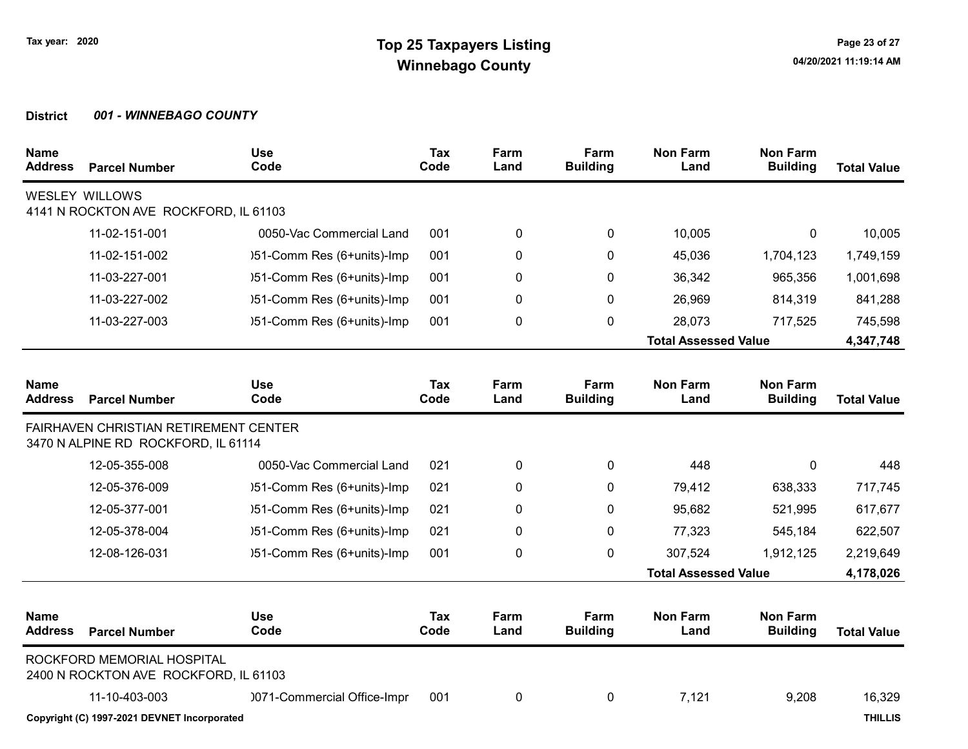| <b>Name</b><br><b>Address</b> | <b>Parcel Number</b>                                                                | <b>Use</b><br>Code          | <b>Tax</b><br>Code | Farm<br>Land | Farm<br><b>Building</b> | <b>Non Farm</b><br>Land     | <b>Non Farm</b><br><b>Building</b> | <b>Total Value</b> |
|-------------------------------|-------------------------------------------------------------------------------------|-----------------------------|--------------------|--------------|-------------------------|-----------------------------|------------------------------------|--------------------|
|                               | <b>WESLEY WILLOWS</b><br>4141 N ROCKTON AVE ROCKFORD, IL 61103                      |                             |                    |              |                         |                             |                                    |                    |
|                               | 11-02-151-001                                                                       | 0050-Vac Commercial Land    | 001                | 0            | 0                       | 10,005                      | 0                                  | 10,005             |
|                               | 11-02-151-002                                                                       | )51-Comm Res (6+units)-Imp  | 001                | 0            | 0                       | 45,036                      | 1,704,123                          | 1,749,159          |
|                               | 11-03-227-001                                                                       | )51-Comm Res (6+units)-Imp  | 001                | 0            | $\Omega$                | 36,342                      | 965,356                            | 1,001,698          |
|                               | 11-03-227-002                                                                       | )51-Comm Res (6+units)-Imp  | 001                | 0            | 0                       | 26,969                      | 814,319                            | 841,288            |
|                               | 11-03-227-003                                                                       | )51-Comm Res (6+units)-Imp  | 001                | 0            | 0                       | 28,073                      | 717,525                            | 745,598            |
|                               |                                                                                     |                             |                    |              |                         | <b>Total Assessed Value</b> |                                    | 4,347,748          |
| <b>Name</b><br>Address        | <b>Parcel Number</b>                                                                | <b>Use</b><br>Code          | <b>Tax</b><br>Code | Farm<br>Land | Farm<br><b>Building</b> | <b>Non Farm</b><br>Land     | <b>Non Farm</b><br><b>Building</b> | <b>Total Value</b> |
|                               | <b>FAIRHAVEN CHRISTIAN RETIREMENT CENTER</b><br>3470 N ALPINE RD ROCKFORD, IL 61114 |                             |                    |              |                         |                             |                                    |                    |
|                               | 12-05-355-008                                                                       | 0050-Vac Commercial Land    | 021                | 0            | 0                       | 448                         | 0                                  | 448                |
|                               | 12-05-376-009                                                                       | )51-Comm Res (6+units)-Imp  | 021                | 0            | $\mathbf{0}$            | 79,412                      | 638,333                            | 717,745            |
|                               | 12-05-377-001                                                                       | )51-Comm Res (6+units)-Imp  | 021                | 0            | 0                       | 95,682                      | 521,995                            | 617,677            |
|                               | 12-05-378-004                                                                       | )51-Comm Res (6+units)-Imp  | 021                | 0            | 0                       | 77,323                      | 545,184                            | 622,507            |
|                               | 12-08-126-031                                                                       | )51-Comm Res (6+units)-Imp  | 001                | 0            | 0                       | 307,524                     | 1,912,125                          | 2,219,649          |
|                               |                                                                                     |                             |                    |              |                         | <b>Total Assessed Value</b> |                                    | 4,178,026          |
| <b>Name</b><br><b>Address</b> | <b>Parcel Number</b>                                                                | <b>Use</b><br>Code          | Tax<br>Code        | Farm<br>Land | Farm<br><b>Building</b> | <b>Non Farm</b><br>Land     | <b>Non Farm</b><br><b>Building</b> | <b>Total Value</b> |
|                               | ROCKFORD MEMORIAL HOSPITAL<br>2400 N ROCKTON AVE ROCKFORD, IL 61103                 |                             |                    |              |                         |                             |                                    |                    |
|                               | 11-10-403-003                                                                       | 0071-Commercial Office-Impr | 001                | 0            | 0                       | 7,121                       | 9,208                              | 16,329             |
|                               | Copyright (C) 1997-2021 DEVNET Incorporated                                         |                             |                    |              |                         |                             |                                    | <b>THILLIS</b>     |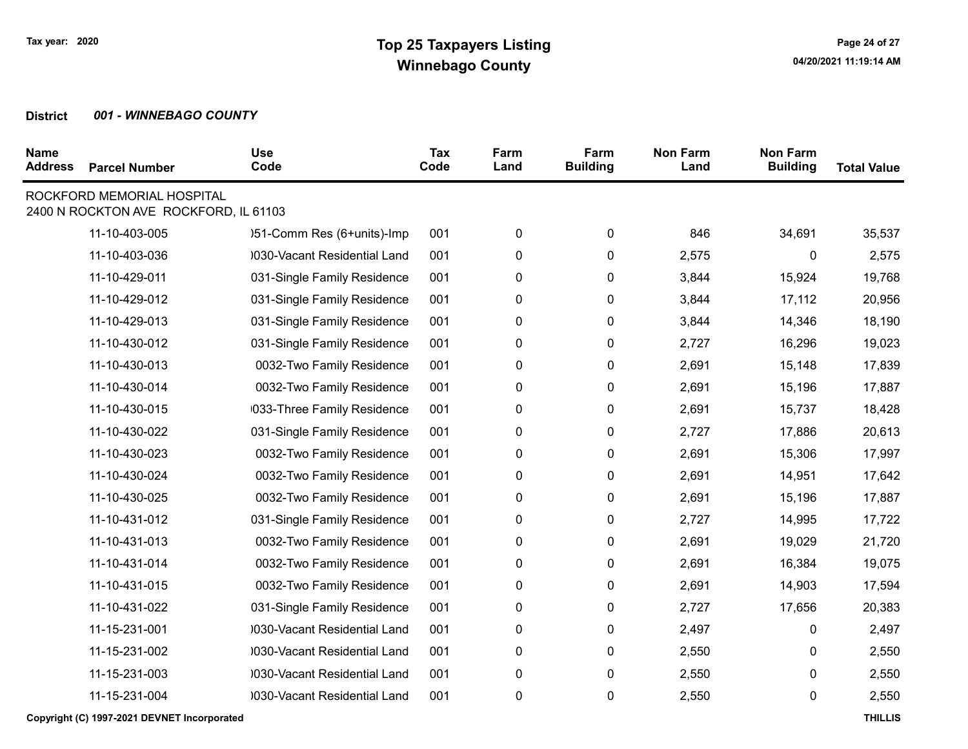| <b>Name</b><br><b>Address</b> | <b>Parcel Number</b>                                                | <b>Use</b><br>Code           | Tax<br>Code | Farm<br>Land | Farm<br><b>Building</b> | <b>Non Farm</b><br>Land | <b>Non Farm</b><br><b>Building</b> | <b>Total Value</b> |
|-------------------------------|---------------------------------------------------------------------|------------------------------|-------------|--------------|-------------------------|-------------------------|------------------------------------|--------------------|
|                               | ROCKFORD MEMORIAL HOSPITAL<br>2400 N ROCKTON AVE ROCKFORD, IL 61103 |                              |             |              |                         |                         |                                    |                    |
|                               | 11-10-403-005                                                       | )51-Comm Res (6+units)-Imp   | 001         | 0            | 0                       | 846                     | 34,691                             | 35,537             |
|                               | 11-10-403-036                                                       | 0030-Vacant Residential Land | 001         | 0            | 0                       | 2,575                   | 0                                  | 2,575              |
|                               | 11-10-429-011                                                       | 031-Single Family Residence  | 001         | 0            | 0                       | 3,844                   | 15,924                             | 19,768             |
|                               | 11-10-429-012                                                       | 031-Single Family Residence  | 001         | 0            | 0                       | 3,844                   | 17,112                             | 20,956             |
|                               | 11-10-429-013                                                       | 031-Single Family Residence  | 001         | 0            | 0                       | 3,844                   | 14,346                             | 18,190             |
|                               | 11-10-430-012                                                       | 031-Single Family Residence  | 001         | 0            | 0                       | 2,727                   | 16,296                             | 19,023             |
|                               | 11-10-430-013                                                       | 0032-Two Family Residence    | 001         | 0            | 0                       | 2,691                   | 15,148                             | 17,839             |
|                               | 11-10-430-014                                                       | 0032-Two Family Residence    | 001         | $\pmb{0}$    | 0                       | 2,691                   | 15,196                             | 17,887             |
|                               | 11-10-430-015                                                       | 033-Three Family Residence   | 001         | 0            | 0                       | 2,691                   | 15,737                             | 18,428             |
|                               | 11-10-430-022                                                       | 031-Single Family Residence  | 001         | 0            | 0                       | 2,727                   | 17,886                             | 20,613             |
|                               | 11-10-430-023                                                       | 0032-Two Family Residence    | 001         | $\pmb{0}$    | 0                       | 2,691                   | 15,306                             | 17,997             |
|                               | 11-10-430-024                                                       | 0032-Two Family Residence    | 001         | $\pmb{0}$    | 0                       | 2,691                   | 14,951                             | 17,642             |
|                               | 11-10-430-025                                                       | 0032-Two Family Residence    | 001         | 0            | 0                       | 2,691                   | 15,196                             | 17,887             |
|                               | 11-10-431-012                                                       | 031-Single Family Residence  | 001         | 0            | 0                       | 2,727                   | 14,995                             | 17,722             |
|                               | 11-10-431-013                                                       | 0032-Two Family Residence    | 001         | 0            | 0                       | 2,691                   | 19,029                             | 21,720             |
|                               | 11-10-431-014                                                       | 0032-Two Family Residence    | 001         | 0            | 0                       | 2,691                   | 16,384                             | 19,075             |
|                               | 11-10-431-015                                                       | 0032-Two Family Residence    | 001         | $\pmb{0}$    | 0                       | 2,691                   | 14,903                             | 17,594             |
|                               | 11-10-431-022                                                       | 031-Single Family Residence  | 001         | 0            | 0                       | 2,727                   | 17,656                             | 20,383             |
|                               | 11-15-231-001                                                       | 0030-Vacant Residential Land | 001         | 0            | 0                       | 2,497                   | 0                                  | 2,497              |
|                               | 11-15-231-002                                                       | 0030-Vacant Residential Land | 001         | 0            | 0                       | 2,550                   | 0                                  | 2,550              |
|                               | 11-15-231-003                                                       | 0030-Vacant Residential Land | 001         | 0            | 0                       | 2,550                   | 0                                  | 2,550              |
|                               | 11-15-231-004                                                       | 0030-Vacant Residential Land | 001         | 0            | 0                       | 2,550                   | 0                                  | 2,550              |
|                               | Copyright (C) 1997-2021 DEVNET Incorporated                         |                              |             |              |                         |                         |                                    | <b>THILLIS</b>     |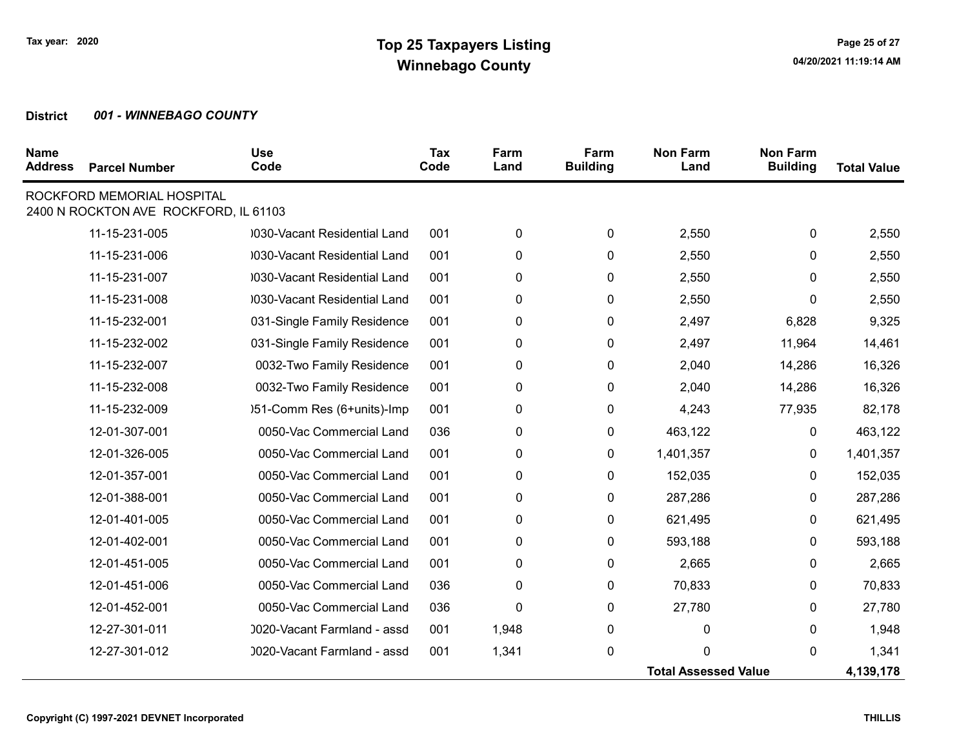| <b>Name</b><br><b>Address</b> | <b>Parcel Number</b>                                                | <b>Use</b><br>Code           | <b>Tax</b><br>Code | Farm<br>Land | Farm<br><b>Building</b> | <b>Non Farm</b><br>Land     | <b>Non Farm</b><br><b>Building</b> | <b>Total Value</b> |
|-------------------------------|---------------------------------------------------------------------|------------------------------|--------------------|--------------|-------------------------|-----------------------------|------------------------------------|--------------------|
|                               | ROCKFORD MEMORIAL HOSPITAL<br>2400 N ROCKTON AVE ROCKFORD, IL 61103 |                              |                    |              |                         |                             |                                    |                    |
|                               | 11-15-231-005                                                       | 030-Vacant Residential Land  | 001                | 0            | 0                       | 2,550                       | 0                                  | 2,550              |
|                               | 11-15-231-006                                                       | 0030-Vacant Residential Land | 001                | 0            | $\pmb{0}$               | 2,550                       | 0                                  | 2,550              |
|                               | 11-15-231-007                                                       | 1030-Vacant Residential Land | 001                | 0            | 0                       | 2,550                       | $\mathbf{0}$                       | 2,550              |
|                               | 11-15-231-008                                                       | 1030-Vacant Residential Land | 001                | 0            | $\pmb{0}$               | 2,550                       | $\mathbf{0}$                       | 2,550              |
|                               | 11-15-232-001                                                       | 031-Single Family Residence  | 001                | 0            | $\pmb{0}$               | 2,497                       | 6,828                              | 9,325              |
|                               | 11-15-232-002                                                       | 031-Single Family Residence  | 001                | 0            | $\pmb{0}$               | 2,497                       | 11,964                             | 14,461             |
|                               | 11-15-232-007                                                       | 0032-Two Family Residence    | 001                | 0            | 0                       | 2,040                       | 14,286                             | 16,326             |
|                               | 11-15-232-008                                                       | 0032-Two Family Residence    | 001                | 0            | 0                       | 2,040                       | 14,286                             | 16,326             |
|                               | 11-15-232-009                                                       | )51-Comm Res (6+units)-Imp   | 001                | 0            | $\mathbf 0$             | 4,243                       | 77,935                             | 82,178             |
|                               | 12-01-307-001                                                       | 0050-Vac Commercial Land     | 036                | 0            | $\mathbf 0$             | 463,122                     | 0                                  | 463,122            |
|                               | 12-01-326-005                                                       | 0050-Vac Commercial Land     | 001                | 0            | 0                       | 1,401,357                   | $\mathbf{0}$                       | 1,401,357          |
|                               | 12-01-357-001                                                       | 0050-Vac Commercial Land     | 001                | 0            | 0                       | 152,035                     | 0                                  | 152,035            |
|                               | 12-01-388-001                                                       | 0050-Vac Commercial Land     | 001                | 0            | $\mathbf 0$             | 287,286                     | 0                                  | 287,286            |
|                               | 12-01-401-005                                                       | 0050-Vac Commercial Land     | 001                | 0            | 0                       | 621,495                     | $\mathbf{0}$                       | 621,495            |
|                               | 12-01-402-001                                                       | 0050-Vac Commercial Land     | 001                | 0            | 0                       | 593,188                     | 0                                  | 593,188            |
|                               | 12-01-451-005                                                       | 0050-Vac Commercial Land     | 001                | 0            | $\pmb{0}$               | 2,665                       | 0                                  | 2,665              |
|                               | 12-01-451-006                                                       | 0050-Vac Commercial Land     | 036                | 0            | $\pmb{0}$               | 70,833                      | 0                                  | 70,833             |
|                               | 12-01-452-001                                                       | 0050-Vac Commercial Land     | 036                | $\mathbf 0$  | $\pmb{0}$               | 27,780                      | 0                                  | 27,780             |
|                               | 12-27-301-011                                                       | 0020-Vacant Farmland - assd  | 001                | 1,948        | $\pmb{0}$               | 0                           | 0                                  | 1,948              |
|                               | 12-27-301-012                                                       | 0020-Vacant Farmland - assd  | 001                | 1,341        | $\pmb{0}$               | $\Omega$                    | 0                                  | 1,341              |
|                               |                                                                     |                              |                    |              |                         | <b>Total Assessed Value</b> |                                    | 4,139,178          |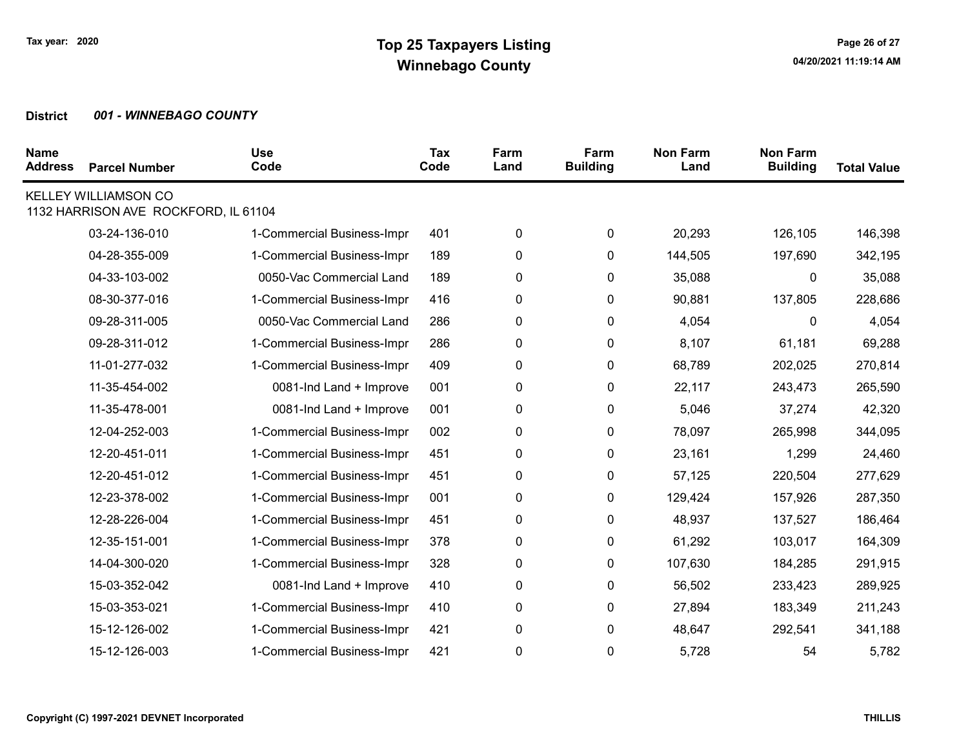| <b>Name</b><br><b>Address</b> | <b>Parcel Number</b>                                         | <b>Use</b><br>Code         | Tax<br>Code | Farm<br>Land | Farm<br><b>Building</b> | <b>Non Farm</b><br>Land | <b>Non Farm</b><br><b>Building</b> | <b>Total Value</b> |
|-------------------------------|--------------------------------------------------------------|----------------------------|-------------|--------------|-------------------------|-------------------------|------------------------------------|--------------------|
|                               | KELLEY WILLIAMSON CO<br>1132 HARRISON AVE ROCKFORD, IL 61104 |                            |             |              |                         |                         |                                    |                    |
|                               | 03-24-136-010                                                | 1-Commercial Business-Impr | 401         | 0            | 0                       | 20,293                  | 126,105                            | 146,398            |
|                               | 04-28-355-009                                                | 1-Commercial Business-Impr | 189         | 0            | 0                       | 144,505                 | 197,690                            | 342,195            |
|                               | 04-33-103-002                                                | 0050-Vac Commercial Land   | 189         | 0            | 0                       | 35,088                  | 0                                  | 35,088             |
|                               | 08-30-377-016                                                | 1-Commercial Business-Impr | 416         | 0            | 0                       | 90,881                  | 137,805                            | 228,686            |
|                               | 09-28-311-005                                                | 0050-Vac Commercial Land   | 286         | 0            | 0                       | 4,054                   | 0                                  | 4,054              |
|                               | 09-28-311-012                                                | 1-Commercial Business-Impr | 286         | 0            | 0                       | 8,107                   | 61,181                             | 69,288             |
|                               | 11-01-277-032                                                | 1-Commercial Business-Impr | 409         | 0            | 0                       | 68,789                  | 202,025                            | 270,814            |
|                               | 11-35-454-002                                                | 0081-Ind Land + Improve    | 001         | 0            | 0                       | 22,117                  | 243,473                            | 265,590            |
|                               | 11-35-478-001                                                | 0081-Ind Land + Improve    | 001         | 0            | 0                       | 5,046                   | 37,274                             | 42,320             |
|                               | 12-04-252-003                                                | 1-Commercial Business-Impr | 002         | 0            | 0                       | 78,097                  | 265,998                            | 344,095            |
|                               | 12-20-451-011                                                | 1-Commercial Business-Impr | 451         | 0            | 0                       | 23,161                  | 1,299                              | 24,460             |
|                               | 12-20-451-012                                                | 1-Commercial Business-Impr | 451         | 0            | 0                       | 57,125                  | 220,504                            | 277,629            |
|                               | 12-23-378-002                                                | 1-Commercial Business-Impr | 001         | 0            | 0                       | 129,424                 | 157,926                            | 287,350            |
|                               | 12-28-226-004                                                | 1-Commercial Business-Impr | 451         | 0            | 0                       | 48,937                  | 137,527                            | 186,464            |
|                               | 12-35-151-001                                                | 1-Commercial Business-Impr | 378         | 0            | 0                       | 61,292                  | 103,017                            | 164,309            |
|                               | 14-04-300-020                                                | 1-Commercial Business-Impr | 328         | 0            | 0                       | 107,630                 | 184,285                            | 291,915            |
|                               | 15-03-352-042                                                | 0081-Ind Land + Improve    | 410         | 0            | 0                       | 56,502                  | 233,423                            | 289,925            |
|                               | 15-03-353-021                                                | 1-Commercial Business-Impr | 410         | 0            | 0                       | 27,894                  | 183,349                            | 211,243            |
|                               | 15-12-126-002                                                | 1-Commercial Business-Impr | 421         | 0            | 0                       | 48,647                  | 292,541                            | 341,188            |
|                               | 15-12-126-003                                                | 1-Commercial Business-Impr | 421         | 0            | 0                       | 5,728                   | 54                                 | 5,782              |